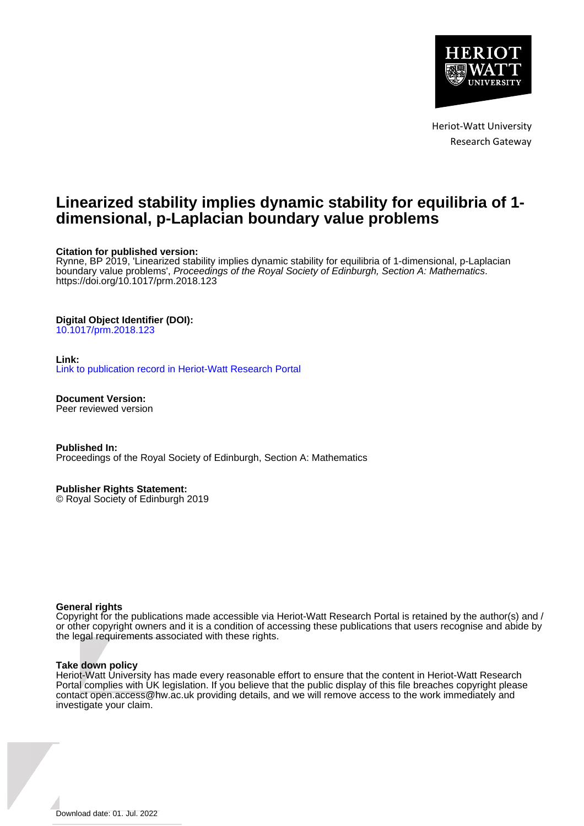

Heriot-Watt University Research Gateway

# **Linearized stability implies dynamic stability for equilibria of 1 dimensional, p-Laplacian boundary value problems**

## **Citation for published version:**

Rynne, BP 2019, 'Linearized stability implies dynamic stability for equilibria of 1-dimensional, p-Laplacian boundary value problems', Proceedings of the Royal Society of Edinburgh, Section A: Mathematics. <https://doi.org/10.1017/prm.2018.123>

## **Digital Object Identifier (DOI):**

[10.1017/prm.2018.123](https://doi.org/10.1017/prm.2018.123)

#### **Link:**

[Link to publication record in Heriot-Watt Research Portal](https://researchportal.hw.ac.uk/en/publications/9f276cb2-0c6a-4e1b-9fda-98797a76c96c)

**Document Version:** Peer reviewed version

**Published In:** Proceedings of the Royal Society of Edinburgh, Section A: Mathematics

**Publisher Rights Statement:**

© Royal Society of Edinburgh 2019

## **General rights**

Copyright for the publications made accessible via Heriot-Watt Research Portal is retained by the author(s) and / or other copyright owners and it is a condition of accessing these publications that users recognise and abide by the legal requirements associated with these rights.

#### **Take down policy**

Heriot-Watt University has made every reasonable effort to ensure that the content in Heriot-Watt Research Portal complies with UK legislation. If you believe that the public display of this file breaches copyright please contact open.access@hw.ac.uk providing details, and we will remove access to the work immediately and investigate your claim.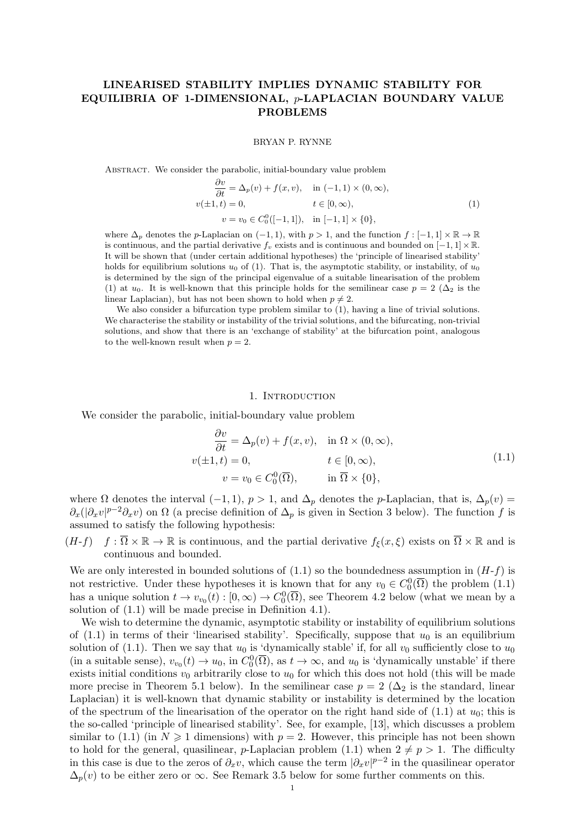## LINEARISED STABILITY IMPLIES DYNAMIC STABILITY FOR EQUILIBRIA OF 1-DIMENSIONAL, p-LAPLACIAN BOUNDARY VALUE PROBLEMS

BRYAN P. RYNNE

ABSTRACT. We consider the parabolic, initial-boundary value problem

$$
\frac{\partial v}{\partial t} = \Delta_p(v) + f(x, v), \quad \text{in } (-1, 1) \times (0, \infty),
$$
  

$$
v(\pm 1, t) = 0, \qquad t \in [0, \infty),
$$
  

$$
v = v_0 \in C_0^0([-1, 1]), \quad \text{in } [-1, 1] \times \{0\},
$$
 (1)

where  $\Delta_p$  denotes the p-Laplacian on  $(-1, 1)$ , with  $p > 1$ , and the function  $f : [-1, 1] \times \mathbb{R} \to \mathbb{R}$ is continuous, and the partial derivative f<sub>i</sub> exists and is continuous and bounded on  $[-1, 1] \times \mathbb{R}$ . It will be shown that (under certain additional hypotheses) the 'principle of linearised stability' holds for equilibrium solutions  $u_0$  of (1). That is, the asymptotic stability, or instability, of  $u_0$ is determined by the sign of the principal eigenvalue of a suitable linearisation of the problem (1) at  $u_0$ . It is well-known that this principle holds for the semilinear case  $p = 2$  ( $\Delta_2$  is the linear Laplacian), but has not been shown to hold when  $p \neq 2$ .

We also consider a bifurcation type problem similar to  $(1)$ , having a line of trivial solutions. We characterise the stability or instability of the trivial solutions, and the bifurcating, non-trivial solutions, and show that there is an 'exchange of stability' at the bifurcation point, analogous to the well-known result when  $p = 2$ .

#### 1. Introduction

We consider the parabolic, initial-boundary value problem

$$
\frac{\partial v}{\partial t} = \Delta_p(v) + f(x, v), \quad \text{in } \Omega \times (0, \infty),
$$
  

$$
v(\pm 1, t) = 0, \qquad t \in [0, \infty),
$$
  

$$
v = v_0 \in C_0^0(\overline{\Omega}), \qquad \text{in } \overline{\Omega} \times \{0\},
$$
 (1.1)

where  $\Omega$  denotes the interval  $(-1, 1)$ ,  $p > 1$ , and  $\Delta_p$  denotes the p-Laplacian, that is,  $\Delta_p(v)$  $\partial_x(|\partial_x v|^{p-2}\partial_x v)$  on  $\Omega$  (a precise definition of  $\Delta_p$  is given in Section 3 below). The function f is assumed to satisfy the following hypothesis:

 $(H-f)$   $f : \overline{\Omega} \times \mathbb{R} \to \mathbb{R}$  is continuous, and the partial derivative  $f_{\xi}(x,\xi)$  exists on  $\overline{\Omega} \times \mathbb{R}$  and is continuous and bounded.

We are only interested in bounded solutions of  $(1.1)$  so the boundedness assumption in  $(H-f)$  is not restrictive. Under these hypotheses it is known that for any  $v_0 \in C_0^0(\overline{\Omega})$  the problem  $(1.1)$ has a unique solution  $t \to v_{v_0}(t) : [0, \infty) \to C_0^0(\overline{\Omega})$ , see Theorem 4.2 below (what we mean by a solution of (1.1) will be made precise in Definition 4.1).

We wish to determine the dynamic, asymptotic stability or instability of equilibrium solutions of  $(1.1)$  in terms of their 'linearised stability'. Specifically, suppose that  $u_0$  is an equilibrium solution of (1.1). Then we say that  $u_0$  is 'dynamically stable' if, for all  $v_0$  sufficiently close to  $u_0$ (in a suitable sense),  $v_{v_0}(t) \to u_0$ , in  $C_0^0(\overline{\Omega})$ , as  $t \to \infty$ , and  $u_0$  is 'dynamically unstable' if there exists initial conditions  $v_0$  arbitrarily close to  $u_0$  for which this does not hold (this will be made more precise in Theorem 5.1 below). In the semilinear case  $p = 2 (\Delta_2$  is the standard, linear Laplacian) it is well-known that dynamic stability or instability is determined by the location of the spectrum of the linearisation of the operator on the right hand side of  $(1.1)$  at  $u_0$ ; this is the so-called 'principle of linearised stability'. See, for example, [13], which discusses a problem similar to (1.1) (in  $N \ge 1$  dimensions) with  $p = 2$ . However, this principle has not been shown to hold for the general, quasilinear, p-Laplacian problem (1.1) when  $2 \neq p > 1$ . The difficulty in this case is due to the zeros of  $\partial_x v$ , which cause the term  $|\partial_x v|^{p-2}$  in the quasilinear operator  $\Delta_p(v)$  to be either zero or  $\infty$ . See Remark 3.5 below for some further comments on this.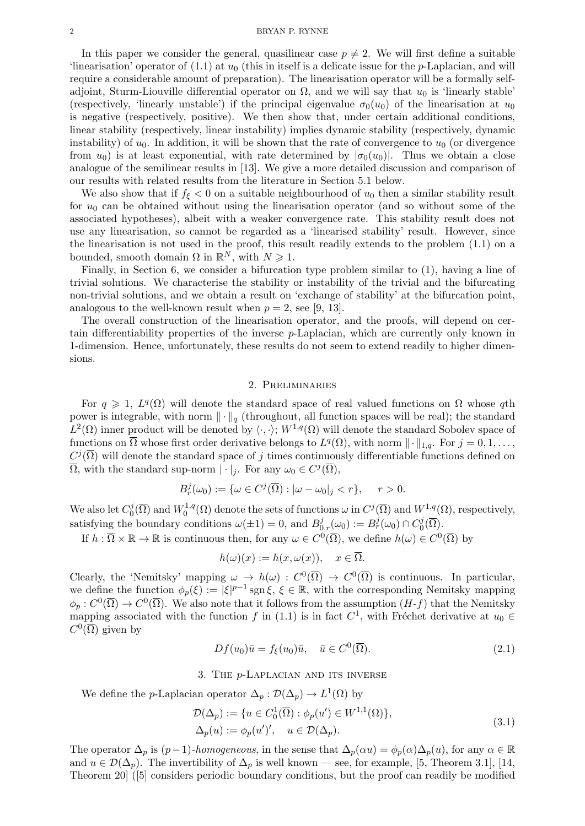#### 2 BRYAN P. RYNNE

In this paper we consider the general, quasilinear case  $p \neq 2$ . We will first define a suitable 'linearisation' operator of  $(1.1)$  at  $u_0$  (this in itself is a delicate issue for the *p*-Laplacian, and will require a considerable amount of preparation). The linearisation operator will be a formally selfadjoint, Sturm-Liouville differential operator on  $\Omega$ , and we will say that  $u_0$  is 'linearly stable' (respectively, 'linearly unstable') if the principal eigenvalue  $\sigma_0(u_0)$  of the linearisation at  $u_0$ is negative (respectively, positive). We then show that, under certain additional conditions, linear stability (respectively, linear instability) implies dynamic stability (respectively, dynamic instability) of  $u_0$ . In addition, it will be shown that the rate of convergence to  $u_0$  (or divergence from  $u_0$ ) is at least exponential, with rate determined by  $|\sigma_0(u_0)|$ . Thus we obtain a close analogue of the semilinear results in [13]. We give a more detailed discussion and comparison of our results with related results from the literature in Section 5.1 below.

We also show that if  $f_{\xi} < 0$  on a suitable neighbourhood of  $u_0$  then a similar stability result for  $u_0$  can be obtained without using the linearisation operator (and so without some of the associated hypotheses), albeit with a weaker convergence rate. This stability result does not use any linearisation, so cannot be regarded as a 'linearised stability' result. However, since the linearisation is not used in the proof, this result readily extends to the problem (1.1) on a bounded, smooth domain  $\Omega$  in  $\mathbb{R}^N$ , with  $N \geq 1$ .

Finally, in Section 6, we consider a bifurcation type problem similar to (1), having a line of trivial solutions. We characterise the stability or instability of the trivial and the bifurcating non-trivial solutions, and we obtain a result on 'exchange of stability' at the bifurcation point, analogous to the well-known result when  $p = 2$ , see [9, 13].

The overall construction of the linearisation operator, and the proofs, will depend on certain differentiability properties of the inverse p-Laplacian, which are currently only known in 1-dimension. Hence, unfortunately, these results do not seem to extend readily to higher dimensions.

#### 2. Preliminaries

For  $q \geq 1$ ,  $L^q(\Omega)$  will denote the standard space of real valued functions on  $\Omega$  whose qth power is integrable, with norm  $\|\cdot\|_q$  (throughout, all function spaces will be real); the standard  $L^2(\Omega)$  inner product will be denoted by  $\langle \cdot, \cdot \rangle$ ;  $W^{1,q}(\Omega)$  will denote the standard Sobolev space of functions on  $\overline{\Omega}$  whose first order derivative belongs to  $L^q(\Omega)$ , with norm  $\|\cdot\|_{1,q}$ . For  $j=0,1,\ldots,$  $C^j(\overline{\Omega})$  will denote the standard space of j times continuously differentiable functions defined on  $\overline{\Omega}$ , with the standard sup-norm  $|\cdot|_j$ . For any  $\omega_0 \in C^j(\overline{\Omega})$ ,

$$
B_r^j(\omega_0) := \{ \omega \in C^j(\overline{\Omega}) : |\omega - \omega_0|_j < r \}, \quad r > 0.
$$

We also let  $C_0^j$  $\iota _0^j(\overline{\Omega })$  and  $W_0^{1,q}$  $C_0^{1,q}(\Omega)$  denote the sets of functions  $\omega$  in  $C^j(\overline{\Omega})$  and  $W^{1,q}(\Omega)$ , respectively, satisfying the boundary conditions  $\omega(\pm 1) = 0$ , and  $B^j_{0,r}(\omega_0) := B^j_r(\omega_0) \cap C^j_0$  $_0^{\prime\prime}(\Omega)$ .

If  $h: \overline{\Omega} \times \mathbb{R} \to \mathbb{R}$  is continuous then, for any  $\omega \in C^0(\overline{\Omega})$ , we define  $h(\omega) \in C^0(\overline{\Omega})$  by

$$
h(\omega)(x) := h(x, \omega(x)), \quad x \in \overline{\Omega}.
$$

Clearly, the 'Nemitsky' mapping  $\omega \to h(\omega) : C^0(\overline{\Omega}) \to C^0(\overline{\Omega})$  is continuous. In particular, we define the function  $\phi_p(\xi) := |\xi|^{p-1} \operatorname{sgn} \xi, \xi \in \mathbb{R}$ , with the corresponding Nemitsky mapping  $\phi_p: C^0(\overline{\Omega}) \to C^0(\overline{\Omega})$ . We also note that it follows from the assumption  $(H-f)$  that the Nemitsky mapping associated with the function f in (1.1) is in fact  $C^1$ , with Fréchet derivative at  $u_0 \in$  $C^0(\overline{\Omega})$  given by

$$
Df(u_0)\bar{u} = f_{\xi}(u_0)\bar{u}, \quad \bar{u} \in C^0(\overline{\Omega}).
$$
\n(2.1)

### 3. The p-Laplacian and its inverse

We define the *p*-Laplacian operator  $\Delta_p : \mathcal{D}(\Delta_p) \to L^1(\Omega)$  by

$$
\mathcal{D}(\Delta_p) := \{ u \in C_0^1(\overline{\Omega}) : \phi_p(u') \in W^{1,1}(\Omega) \},\
$$
  

$$
\Delta_p(u) := \phi_p(u')', \quad u \in \mathcal{D}(\Delta_p).
$$
 (3.1)

The operator  $\Delta_p$  is  $(p-1)$ -homogeneous, in the sense that  $\Delta_p(\alpha u) = \phi_p(\alpha) \Delta_p(u)$ , for any  $\alpha \in \mathbb{R}$ and  $u \in \mathcal{D}(\Delta_p)$ . The invertibility of  $\Delta_p$  is well known — see, for example, [5, Theorem 3.1], [14, Theorem 20] ([5] considers periodic boundary conditions, but the proof can readily be modified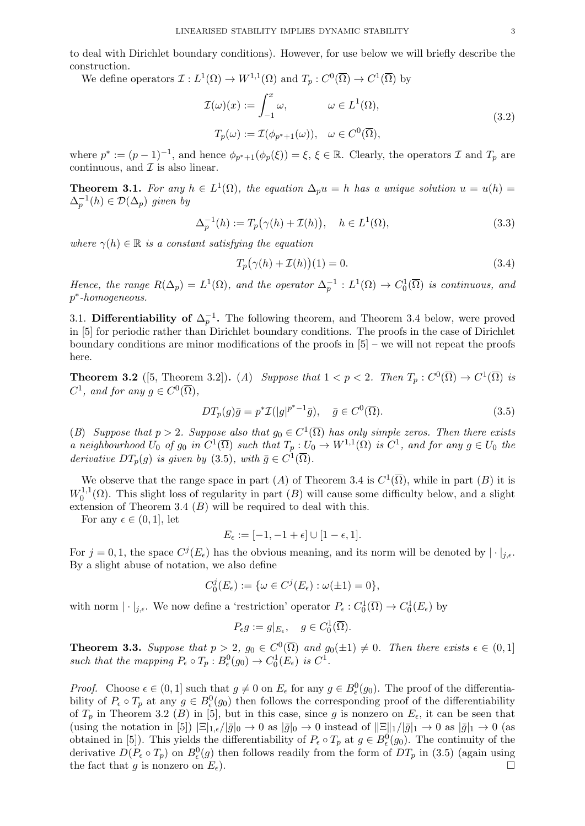to deal with Dirichlet boundary conditions). However, for use below we will briefly describe the construction.

We define operators  $\mathcal{I}: L^1(\Omega) \to W^{1,1}(\Omega)$  and  $T_p: C^0(\overline{\Omega}) \to C^1(\overline{\Omega})$  by

$$
\mathcal{I}(\omega)(x) := \int_{-1}^{x} \omega, \qquad \omega \in L^{1}(\Omega),
$$
  
\n
$$
T_{p}(\omega) := \mathcal{I}(\phi_{p^{*}+1}(\omega)), \quad \omega \in C^{0}(\overline{\Omega}),
$$
\n(3.2)

where  $p^* := (p-1)^{-1}$ , and hence  $\phi_{p^*+1}(\phi_p(\xi)) = \xi, \xi \in \mathbb{R}$ . Clearly, the operators  $\mathcal I$  and  $T_p$  are continuous, and  $\mathcal I$  is also linear.

**Theorem 3.1.** For any  $h \in L^1(\Omega)$ , the equation  $\Delta_p u = h$  has a unique solution  $u = u(h) =$  $\Delta_p^{-1}(h) \in \mathcal{D}(\Delta_p)$  given by

$$
\Delta_p^{-1}(h) := T_p(\gamma(h) + \mathcal{I}(h)), \quad h \in L^1(\Omega), \tag{3.3}
$$

where  $\gamma(h) \in \mathbb{R}$  is a constant satisfying the equation

$$
T_p(\gamma(h) + \mathcal{I}(h))(1) = 0.
$$
\n(3.4)

Hence, the range  $R(\Delta_p) = L^1(\Omega)$ , and the operator  $\Delta_p^{-1} : L^1(\Omega) \to C_0^1(\overline{\Omega})$  is continuous, and p ∗ -homogeneous.

3.1. Differentiability of  $\Delta_p^{-1}$ . The following theorem, and Theorem 3.4 below, were proved in [5] for periodic rather than Dirichlet boundary conditions. The proofs in the case of Dirichlet boundary conditions are minor modifications of the proofs in  $[5]$  – we will not repeat the proofs here.

**Theorem 3.2** ([5, Theorem 3.2]). (A) Suppose that  $1 < p < 2$ . Then  $T_p : C^0(\overline{\Omega}) \to C^1(\overline{\Omega})$  is  $C^1$ , and for any  $g \in C^0(\overline{\Omega})$ ,

$$
DT_p(g)\bar{g} = p^* \mathcal{I}(|g|^{p^*-1}\bar{g}), \quad \bar{g} \in C^0(\overline{\Omega}).
$$
\n(3.5)

(B) Suppose that  $p > 2$ . Suppose also that  $g_0 \in C^1(\overline{\Omega})$  has only simple zeros. Then there exists a neighbourhood  $U_0$  of  $g_0$  in  $C^1(\overline{\Omega})$  such that  $T_p: U_0 \to W^{1,1}(\Omega)$  is  $C^1$ , and for any  $g \in U_0$  the derivative  $DT_p(g)$  is given by (3.5), with  $\bar{g} \in C^1(\overline{\Omega})$ .

We observe that the range space in part (A) of Theorem 3.4 is  $C^1(\overline{\Omega})$ , while in part (B) it is  $W_0^{1,1}$  $\int_0^{1,1}(\Omega)$ . This slight loss of regularity in part  $(B)$  will cause some difficulty below, and a slight extension of Theorem 3.4  $(B)$  will be required to deal with this.

For any  $\epsilon \in (0,1]$ , let

$$
E_{\epsilon} := [-1, -1 + \epsilon] \cup [1 - \epsilon, 1].
$$

For  $j = 0, 1$ , the space  $C^{j}(E_{\epsilon})$  has the obvious meaning, and its norm will be denoted by  $|\cdot|_{j,\epsilon}$ . By a slight abuse of notation, we also define

$$
C_0^j(E_\epsilon) := \{ \omega \in C^j(E_\epsilon) : \omega(\pm 1) = 0 \},\
$$

with norm  $|\cdot|_{j,\epsilon}$ . We now define a 'restriction' operator  $P_{\epsilon}: C_0^1(\overline{\Omega}) \to C_0^1(E_{\epsilon})$  by

$$
P_{\epsilon}g := g|_{E_{\epsilon}}, \quad g \in C_0^1(\overline{\Omega}).
$$

**Theorem 3.3.** Suppose that  $p > 2$ ,  $g_0 \in C^0(\overline{\Omega})$  and  $g_0(\pm 1) \neq 0$ . Then there exists  $\epsilon \in (0,1]$ such that the mapping  $P_{\epsilon} \circ T_p : B_{\epsilon}^0(g_0) \to C_0^1(E_{\epsilon})$  is  $C^1$ .

*Proof.* Choose  $\epsilon \in (0,1]$  such that  $g \neq 0$  on  $E_{\epsilon}$  for any  $g \in B_{\epsilon}^{0}(g_{0})$ . The proof of the differentiability of  $P_{\epsilon} \circ T_p$  at any  $g \in B_{\epsilon}^0(g_0)$  then follows the corresponding proof of the differentiability of  $T_p$  in Theorem 3.2 (B) in [5], but in this case, since g is nonzero on  $E_{\epsilon}$ , it can be seen that (using the notation in [5])  $|\Xi|_{1,\epsilon}/|\bar{g}|_0 \to 0$  as  $|\bar{g}|_0 \to 0$  instead of  $||\Xi||_1/|\bar{g}|_1 \to 0$  as  $|\bar{g}|_1 \to 0$  (as obtained in [5]). This yields the differentiability of  $P_{\epsilon} \circ T_p$  at  $g \in B_{\epsilon}^0(g_0)$ . The continuity of the derivative  $D(P_\epsilon \circ T_p)$  on  $B^0_\epsilon(g)$  then follows readily from the form of  $DT_p$  in (3.5) (again using the fact that g is nonzero on  $E_{\epsilon}$ ).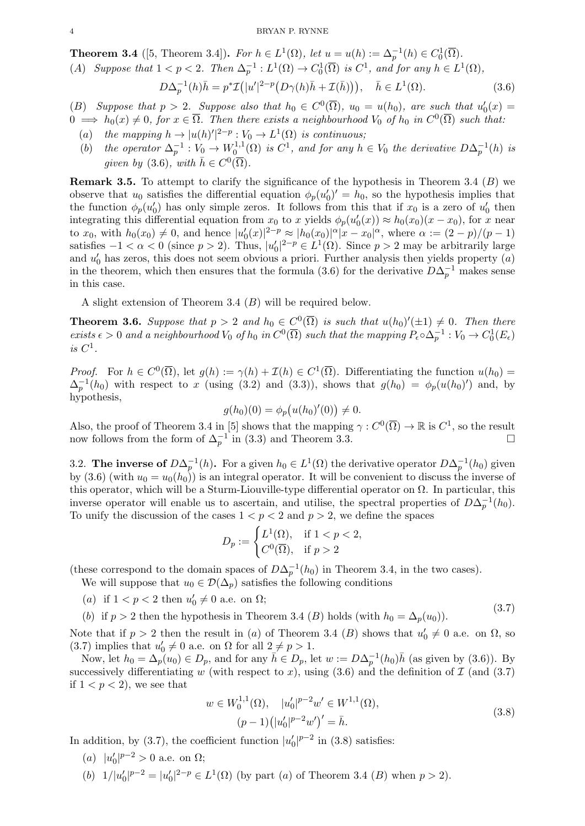**Theorem 3.4** ([5, Theorem 3.4]). For  $h \in L^1(\Omega)$ , let  $u = u(h) := \Delta_p^{-1}(h) \in C_0^1(\overline{\Omega})$ .

(A) Suppose that  $1 < p < 2$ . Then  $\Delta_p^{-1}: L^1(\Omega) \to C_0^1(\overline{\Omega})$  is  $C^1$ , and for any  $h \in L^1(\Omega)$ ,

$$
D\Delta_p^{-1}(h)\bar{h} = p^* \mathcal{I}(|u'|^{2-p} \big(D\gamma(h)\bar{h} + \mathcal{I}(\bar{h})\big)\big), \quad \bar{h} \in L^1(\Omega). \tag{3.6}
$$

(B) Suppose that  $p > 2$ . Suppose also that  $h_0 \in C^0(\overline{\Omega})$ ,  $u_0 = u(h_0)$ , are such that  $u'_0(x) =$  $0 \implies h_0(x) \neq 0$ , for  $x \in \overline{\Omega}$ . Then there exists a neighbourhood  $V_0$  of  $h_0$  in  $C^0(\overline{\Omega})$  such that:

- (a) the mapping  $h \to |u(h)|^{2-p} : V_0 \to L^1(\Omega)$  is continuous;
- (b) the operator  $\Delta_p^{-1}: V_0 \to W_0^{1,1}$  $U_0^{1,1}(\Omega)$  is  $C^1$ , and for any  $h \in V_0$  the derivative  $D\Delta_p^{-1}(h)$  is given by (3.6), with  $\bar{h} \in C^0(\overline{\Omega})$ .

**Remark 3.5.** To attempt to clarify the significance of the hypothesis in Theorem 3.4  $(B)$  we observe that  $u_0$  satisfies the differential equation  $\phi_p(u'_0)' = h_0$ , so the hypothesis implies that the function  $\phi_p(u_0)$  has only simple zeros. It follows from this that if  $x_0$  is a zero of  $u_0'$  then integrating this differential equation from  $x_0$  to x yields  $\phi_p(u'_0(x)) \approx h_0(x_0)(x - x_0)$ , for x near to  $x_0$ , with  $h_0(x_0) \neq 0$ , and hence  $|u'_0(x)|^{2-p} \approx |h_0(x_0)|^{\alpha}|x-x_0|^{\alpha}$ , where  $\alpha := (2-p)/(p-1)$ satisfies  $-1 < \alpha < 0$  (since  $p > 2$ ). Thus,  $|u'_0|^{2-p} \in L^1(\Omega)$ . Since  $p > 2$  may be arbitrarily large and  $u'_0$  has zeros, this does not seem obvious a priori. Further analysis then yields property  $(a)$ in the theorem, which then ensures that the formula (3.6) for the derivative  $D\Delta_p^{-1}$  makes sense in this case.

A slight extension of Theorem 3.4 (B) will be required below.

**Theorem 3.6.** Suppose that  $p > 2$  and  $h_0 \in C^0(\overline{\Omega})$  is such that  $u(h_0)'(\pm 1) \neq 0$ . Then there exists  $\epsilon > 0$  and a neighbourhood  $V_0$  of  $h_0$  in  $C^0(\overline{\Omega})$  such that the mapping  $P_\epsilon \circ \Delta_p^{-1} : V_0 \to C_0^1(E_\epsilon)$ is  $C^1$ .

*Proof.* For  $h \in C^0(\overline{\Omega})$ , let  $g(h) := \gamma(h) + \mathcal{I}(h) \in C^1(\overline{\Omega})$ . Differentiating the function  $u(h_0)$  $\Delta_p^{-1}(h_0)$  with respect to x (using (3.2) and (3.3)), shows that  $g(h_0) = \phi_p(u(h_0)')$  and, by hypothesis,

$$
g(h_0)(0) = \phi_p(u(h_0)'(0)) \neq 0.
$$

Also, the proof of Theorem 3.4 in [5] shows that the mapping  $\gamma: C^0(\overline{\Omega}) \to \mathbb{R}$  is  $C^1$ , so the result now follows from the form of  $\Delta_p^{-1}$  in (3.3) and Theorem 3.3.

3.2. The inverse of  $D\Delta_p^{-1}(h)$ . For a given  $h_0 \in L^1(\Omega)$  the derivative operator  $D\Delta_p^{-1}(h_0)$  given by (3.6) (with  $u_0 = u_0(h_0)$ ) is an integral operator. It will be convenient to discuss the inverse of this operator, which will be a Sturm-Liouville-type differential operator on  $\Omega$ . In particular, this inverse operator will enable us to ascertain, and utilise, the spectral properties of  $D\Delta_p^{-1}(h_0)$ . To unify the discussion of the cases  $1 < p < 2$  and  $p > 2$ , we define the spaces

$$
D_p := \begin{cases} L^1(\Omega), & \text{if } 1 < p < 2, \\ C^0(\overline{\Omega}), & \text{if } p > 2 \end{cases}
$$

(these correspond to the domain spaces of  $D\Delta_p^{-1}(h_0)$  in Theorem 3.4, in the two cases).

We will suppose that  $u_0 \in \mathcal{D}(\Delta_p)$  satisfies the following conditions

- (a) if  $1 < p < 2$  then  $u'_0 \neq 0$  a.e. on  $\Omega$ ;
- (b) if  $p > 2$  then the hypothesis in Theorem 3.4 (B) holds (with  $h_0 = \Delta_p(u_0)$ ). (3.7)

Note that if  $p > 2$  then the result in (a) of Theorem 3.4 (B) shows that  $u'_0 \neq 0$  a.e. on  $\Omega$ , so (3.7) implies that  $u'_0 \neq 0$  a.e. on  $\Omega$  for all  $2 \neq p > 1$ .

Now, let  $h_0 = \Delta_p(u_0) \in D_p$ , and for any  $\bar{h} \in D_p$ , let  $w := D\Delta_p^{-1}(h_0)\bar{h}$  (as given by (3.6)). By successively differentiating w (with respect to x), using (3.6) and the definition of  $\mathcal{I}$  (and (3.7) if  $1 < p < 2$ , we see that

$$
w \in W_0^{1,1}(\Omega), \quad |u'_0|^{p-2}w' \in W^{1,1}(\Omega),
$$
  

$$
(p-1)(|u'_0|^{p-2}w')' = \bar{h}.
$$
 (3.8)

In addition, by (3.7), the coefficient function  $|u'_0|^{p-2}$  in (3.8) satisfies:

- (a)  $|u'_0|^{p-2} > 0$  a.e. on  $\Omega$ ;
- (b)  $1/|u'_0|^{p-2} = |u'_0|^{2-p} \in L^1(\Omega)$  (by part (a) of Theorem 3.4 (B) when  $p > 2$ ).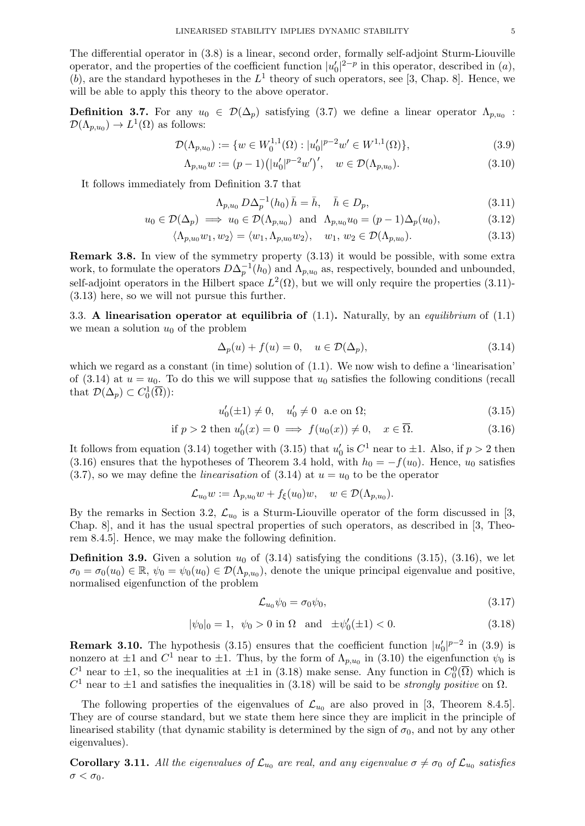The differential operator in (3.8) is a linear, second order, formally self-adjoint Sturm-Liouville operator, and the properties of the coefficient function  $|u'_0|^{2-p}$  in this operator, described in  $(a)$ , (b), are the standard hypotheses in the  $L^1$  theory of such operators, see [3, Chap. 8]. Hence, we will be able to apply this theory to the above operator.

**Definition 3.7.** For any  $u_0 \in \mathcal{D}(\Delta_p)$  satisfying (3.7) we define a linear operator  $\Lambda_{p,u_0}$ :  $\mathcal{D}(\Lambda_{p,u_0}) \to L^1(\Omega)$  as follows:

$$
\mathcal{D}(\Lambda_{p,u_0}) := \{ w \in W_0^{1,1}(\Omega) : |u'_0|^{p-2} w' \in W^{1,1}(\Omega) \},\tag{3.9}
$$

$$
\Lambda_{p,u_0} w := (p-1) \left( |u'_0|^{p-2} w' \right)', \quad w \in \mathcal{D}(\Lambda_{p,u_0}).\tag{3.10}
$$

It follows immediately from Definition 3.7 that

$$
\Lambda_{p,u_0} \, D\Delta_p^{-1}(h_0) \, \bar{h} = \bar{h}, \quad \bar{h} \in D_p,\tag{3.11}
$$

$$
u_0 \in \mathcal{D}(\Delta_p) \implies u_0 \in \mathcal{D}(\Lambda_{p,u_0}) \text{ and } \Lambda_{p,u_0} u_0 = (p-1)\Delta_p(u_0),
$$
 (3.12)

$$
\langle \Lambda_{p,u_0} w_1, w_2 \rangle = \langle w_1, \Lambda_{p,u_0} w_2 \rangle, \quad w_1, w_2 \in \mathcal{D}(\Lambda_{p,u_0}). \tag{3.13}
$$

Remark 3.8. In view of the symmetry property (3.13) it would be possible, with some extra work, to formulate the operators  $D\Delta_p^{-1}(h_0)$  and  $\Lambda_{p,u_0}$  as, respectively, bounded and unbounded, self-adjoint operators in the Hilbert space  $L^2(\Omega)$ , but we will only require the properties (3.11)-(3.13) here, so we will not pursue this further.

3.3. A linearisation operator at equilibria of  $(1.1)$ . Naturally, by an *equilibrium* of  $(1.1)$ we mean a solution  $u_0$  of the problem

$$
\Delta_p(u) + f(u) = 0, \quad u \in \mathcal{D}(\Delta_p), \tag{3.14}
$$

which we regard as a constant (in time) solution of  $(1.1)$ . We now wish to define a 'linearisation' of (3.14) at  $u = u_0$ . To do this we will suppose that  $u_0$  satisfies the following conditions (recall that  $\mathcal{D}(\Delta_p) \subset C_0^1(\overline{\Omega})$ :

$$
u'_0(\pm 1) \neq 0, \quad u'_0 \neq 0 \quad \text{a.e on } \Omega; \tag{3.15}
$$

if 
$$
p > 2
$$
 then  $u'_0(x) = 0 \implies f(u_0(x)) \neq 0, \quad x \in \overline{\Omega}$ . (3.16)

It follows from equation (3.14) together with (3.15) that  $u'_0$  is  $C^1$  near to  $\pm 1$ . Also, if  $p > 2$  then (3.16) ensures that the hypotheses of Theorem 3.4 hold, with  $h_0 = -f(u_0)$ . Hence,  $u_0$  satisfies  $(3.7)$ , so we may define the *linearisation* of  $(3.14)$  at  $u = u_0$  to be the operator

$$
\mathcal{L}_{u_0}w := \Lambda_{p,u_0}w + f_{\xi}(u_0)w, \quad w \in \mathcal{D}(\Lambda_{p,u_0}).
$$

By the remarks in Section 3.2,  $\mathcal{L}_{u_0}$  is a Sturm-Liouville operator of the form discussed in [3, Chap. 8], and it has the usual spectral properties of such operators, as described in [3, Theorem 8.4.5]. Hence, we may make the following definition.

**Definition 3.9.** Given a solution  $u_0$  of (3.14) satisfying the conditions (3.15), (3.16), we let  $\sigma_0 = \sigma_0(u_0) \in \mathbb{R}, \psi_0 = \psi_0(u_0) \in \mathcal{D}(\Lambda_{p,u_0}),$  denote the unique principal eigenvalue and positive, normalised eigenfunction of the problem

$$
\mathcal{L}_{u_0}\psi_0 = \sigma_0\psi_0,\tag{3.17}
$$

$$
|\psi_0|_0 = 1, \ \psi_0 > 0 \text{ in } \Omega \text{ and } \pm \psi'_0(\pm 1) < 0. \tag{3.18}
$$

**Remark 3.10.** The hypothesis (3.15) ensures that the coefficient function  $|u'_0|^{p-2}$  in (3.9) is nonzero at  $\pm 1$  and  $C^1$  near to  $\pm 1$ . Thus, by the form of  $\Lambda_{p,u_0}$  in (3.10) the eigenfunction  $\psi_0$  is  $C_1^1$  near to  $\pm 1$ , so the inequalities at  $\pm 1$  in (3.18) make sense. Any function in  $C_0^0(\overline{\Omega})$  which is  $C<sup>1</sup>$  near to  $\pm 1$  and satisfies the inequalities in (3.18) will be said to be *strongly positive* on  $\Omega$ .

The following properties of the eigenvalues of  $\mathcal{L}_{u_0}$  are also proved in [3, Theorem 8.4.5]. They are of course standard, but we state them here since they are implicit in the principle of linearised stability (that dynamic stability is determined by the sign of  $\sigma_0$ , and not by any other eigenvalues).

**Corollary 3.11.** All the eigenvalues of  $\mathcal{L}_{u_0}$  are real, and any eigenvalue  $\sigma \neq \sigma_0$  of  $\mathcal{L}_{u_0}$  satisfies  $\sigma < \sigma_0$ .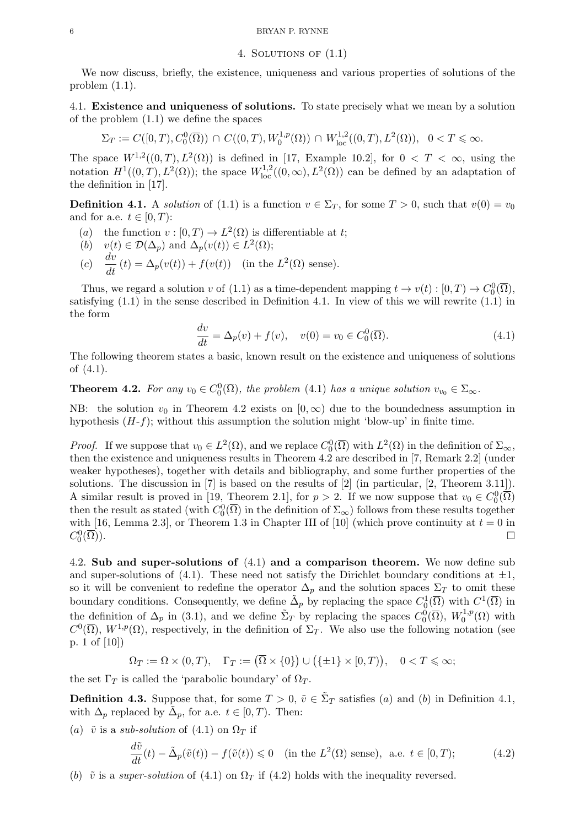#### 4. Solutions of (1.1)

We now discuss, briefly, the existence, uniqueness and various properties of solutions of the problem (1.1).

4.1. Existence and uniqueness of solutions. To state precisely what we mean by a solution of the problem (1.1) we define the spaces

$$
\Sigma_T := C([0,T), C_0^0(\overline{\Omega})) \cap C((0,T), W_0^{1,p}(\Omega)) \cap W_{\text{loc}}^{1,2}((0,T), L^2(\Omega)), \quad 0 < T \leq \infty.
$$

The space  $W^{1,2}((0,T), L^2(\Omega))$  is defined in [17, Example 10.2], for  $0 < T < \infty$ , using the notation  $H^1((0,T), L^2(\Omega))$ ; the space  $W^{1,2}_{loc}((0,\infty), L^2(\Omega))$  can be defined by an adaptation of the definition in [17].

**Definition 4.1.** A solution of (1.1) is a function  $v \in \Sigma_T$ , for some  $T > 0$ , such that  $v(0) = v_0$ and for a.e.  $t \in [0, T)$ :

- (a) the function  $v : [0, T) \to L^2(\Omega)$  is differentiable at t;
- (b)  $v(t) \in \mathcal{D}(\Delta_p)$  and  $\Delta_p(v(t)) \in L^2(\Omega)$ ;
- (c)  $\frac{dv}{dt}(t) = \Delta_p(v(t)) + f(v(t))$  (in the  $L^2(\Omega)$  sense).

Thus, we regard a solution v of (1.1) as a time-dependent mapping  $t \to v(t) : [0, T) \to C_0^0(\overline{\Omega}),$ satisfying  $(1.1)$  in the sense described in Definition 4.1. In view of this we will rewrite  $(1.1)$  in the form

$$
\frac{dv}{dt} = \Delta_p(v) + f(v), \quad v(0) = v_0 \in C_0^0(\overline{\Omega}).
$$
\n(4.1)

The following theorem states a basic, known result on the existence and uniqueness of solutions of (4.1).

## **Theorem 4.2.** For any  $v_0 \in C_0^0(\overline{\Omega})$ , the problem (4.1) has a unique solution  $v_{v_0} \in \Sigma_{\infty}$ .

NB: the solution  $v_0$  in Theorem 4.2 exists on  $[0, \infty)$  due to the boundedness assumption in hypothesis  $(H-f)$ ; without this assumption the solution might 'blow-up' in finite time.

*Proof.* If we suppose that  $v_0 \in L^2(\Omega)$ , and we replace  $C_0^0(\overline{\Omega})$  with  $L^2(\Omega)$  in the definition of  $\Sigma_{\infty}$ , then the existence and uniqueness results in Theorem 4.2 are described in [7, Remark 2.2] (under weaker hypotheses), together with details and bibliography, and some further properties of the solutions. The discussion in [7] is based on the results of [2] (in particular, [2, Theorem 3.11]). A similar result is proved in [19, Theorem 2.1], for  $p > 2$ . If we now suppose that  $v_0 \in C_0^0(\overline{\Omega})$ then the result as stated (with  $C_0^0(\overline{\Omega})$  in the definition of  $\Sigma_{\infty}$ ) follows from these results together with [16, Lemma 2.3], or Theorem 1.3 in Chapter III of [10] (which prove continuity at  $t = 0$  in  $C_0^0$  $(\overline{\Omega}))$ .

4.2. Sub and super-solutions of (4.1) and a comparison theorem. We now define sub and super-solutions of (4.1). These need not satisfy the Dirichlet boundary conditions at  $\pm 1$ , so it will be convenient to redefine the operator  $\Delta_p$  and the solution spaces  $\Sigma_T$  to omit these boundary conditions. Consequently, we define  $\tilde{\Delta}_p$  by replacing the space  $C_0^1(\overline{\Omega})$  with  $C^1(\overline{\Omega})$  in the definition of  $\Delta_p$  in (3.1), and we define  $\tilde{\Sigma}_T$  by replacing the spaces  $C_0^0(\overline{\Omega}), W_0^{1,p}$  $\mathcal{O}^{1,p}(\Omega)$  with  $C^0(\overline{\Omega}), W^{1,p}(\Omega)$ , respectively, in the definition of  $\Sigma_T$ . We also use the following notation (see p. 1 of [10])

$$
\Omega_T := \Omega \times (0, T), \quad \Gamma_T := (\overline{\Omega} \times \{0\}) \cup (\{\pm 1\} \times [0, T)), \quad 0 < T \leqslant \infty;
$$

the set  $\Gamma_T$  is called the 'parabolic boundary' of  $\Omega_T$ .

**Definition 4.3.** Suppose that, for some  $T > 0$ ,  $\tilde{v} \in \tilde{\Sigma}_T$  satisfies (a) and (b) in Definition 4.1, with  $\Delta_p$  replaced by  $\tilde{\Delta}_p$ , for a.e.  $t \in [0, T)$ . Then:

(a)  $\tilde{v}$  is a sub-solution of (4.1) on  $\Omega_T$  if

$$
\frac{d\tilde{v}}{dt}(t) - \tilde{\Delta}_p(\tilde{v}(t)) - f(\tilde{v}(t)) \le 0 \quad \text{(in the } L^2(\Omega) \text{ sense)}, \text{ a.e. } t \in [0, T); \tag{4.2}
$$

(b)  $\tilde{v}$  is a super-solution of (4.1) on  $\Omega_T$  if (4.2) holds with the inequality reversed.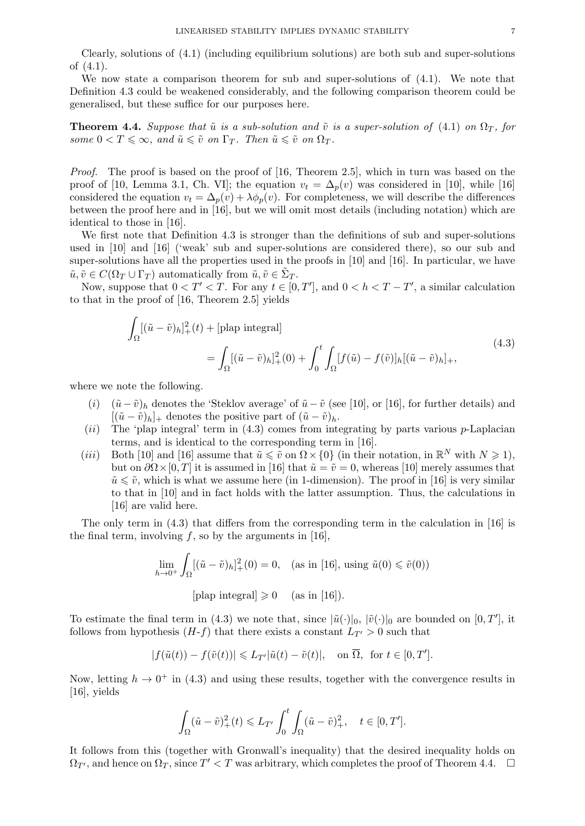Clearly, solutions of (4.1) (including equilibrium solutions) are both sub and super-solutions of (4.1).

We now state a comparison theorem for sub and super-solutions of (4.1). We note that Definition 4.3 could be weakened considerably, and the following comparison theorem could be generalised, but these suffice for our purposes here.

**Theorem 4.4.** Suppose that  $\tilde{u}$  is a sub-solution and  $\tilde{v}$  is a super-solution of (4.1) on  $\Omega_T$ , for some  $0 < T \leq \infty$ , and  $\tilde{u} \leq \tilde{v}$  on  $\Gamma_T$ . Then  $\tilde{u} \leq \tilde{v}$  on  $\Omega_T$ .

Proof. The proof is based on the proof of [16, Theorem 2.5], which in turn was based on the proof of [10, Lemma 3.1, Ch. VI]; the equation  $v_t = \Delta_p(v)$  was considered in [10], while [16] considered the equation  $v_t = \Delta_p(v) + \lambda \phi_p(v)$ . For completeness, we will describe the differences between the proof here and in [16], but we will omit most details (including notation) which are identical to those in [16].

We first note that Definition 4.3 is stronger than the definitions of sub and super-solutions used in [10] and [16] ('weak' sub and super-solutions are considered there), so our sub and super-solutions have all the properties used in the proofs in [10] and [16]. In particular, we have  $\tilde{u}, \tilde{v} \in C(\Omega_T \cup \Gamma_T)$  automatically from  $\tilde{u}, \tilde{v} \in \tilde{\Sigma}_T$ .

Now, suppose that  $0 < T' < T$ . For any  $t \in [0, T']$ , and  $0 < h < T - T'$ , a similar calculation to that in the proof of [16, Theorem 2.5] yields

$$
\int_{\Omega} [(\tilde{u} - \tilde{v})_h]_+^2(t) + [\text{plap integral}]
$$
\n
$$
= \int_{\Omega} [(\tilde{u} - \tilde{v})_h]_+^2(0) + \int_0^t \int_{\Omega} [f(\tilde{u}) - f(\tilde{v})]_h [(\tilde{u} - \tilde{v})_h]_+,
$$
\n(4.3)

where we note the following.

- (i)  $(\tilde{u} \tilde{v})_h$  denotes the 'Steklov average' of  $\tilde{u} \tilde{v}$  (see [10], or [16], for further details) and  $[(\tilde{u}-\tilde{v})_h]_+$  denotes the positive part of  $(\tilde{u}-\tilde{v})_h$ .
- (ii) The 'plap integral' term in  $(4.3)$  comes from integrating by parts various p-Laplacian terms, and is identical to the corresponding term in [16].
- (*iii*) Both [10] and [16] assume that  $\tilde{u} \leq \tilde{v}$  on  $\Omega \times \{0\}$  (in their notation, in  $\mathbb{R}^N$  with  $N \geq 1$ ), but on  $\partial \Omega \times [0, T]$  it is assumed in [16] that  $\tilde{u} = \tilde{v} = 0$ , whereas [10] merely assumes that  $\tilde{u} \leq \tilde{v}$ , which is what we assume here (in 1-dimension). The proof in [16] is very similar to that in [10] and in fact holds with the latter assumption. Thus, the calculations in [16] are valid here.

The only term in  $(4.3)$  that differs from the corresponding term in the calculation in [16] is the final term, involving  $f$ , so by the arguments in [16],

$$
\lim_{h \to 0^+} \int_{\Omega} [(\tilde{u} - \tilde{v})_h]_+^2(0) = 0, \quad \text{(as in [16], using } \tilde{u}(0) \le \tilde{v}(0))
$$
\n[plap integral]  $\ge 0$  (as in [16]).

To estimate the final term in (4.3) we note that, since  $|\tilde{u}(\cdot)|_0$ ,  $|\tilde{v}(\cdot)|_0$  are bounded on  $[0, T']$ , it follows from hypothesis  $(H-f)$  that there exists a constant  $L_{T'} > 0$  such that

$$
|f(\tilde{u}(t)) - f(\tilde{v}(t))| \leq L_{T'}|\tilde{u}(t) - \tilde{v}(t)|, \quad \text{on } \overline{\Omega}, \text{ for } t \in [0, T'].
$$

Now, letting  $h \to 0^+$  in (4.3) and using these results, together with the convergence results in [16], yields

$$
\int_{\Omega} (\tilde{u} - \tilde{v})^2_+(t) \leq L_{T'} \int_0^t \int_{\Omega} (\tilde{u} - \tilde{v})^2_+, \quad t \in [0, T'].
$$

It follows from this (together with Gronwall's inequality) that the desired inequality holds on  $\Omega_{T}$ , and hence on  $\Omega_T$ , since  $T' < T$  was arbitrary, which completes the proof of Theorem 4.4.  $\Box$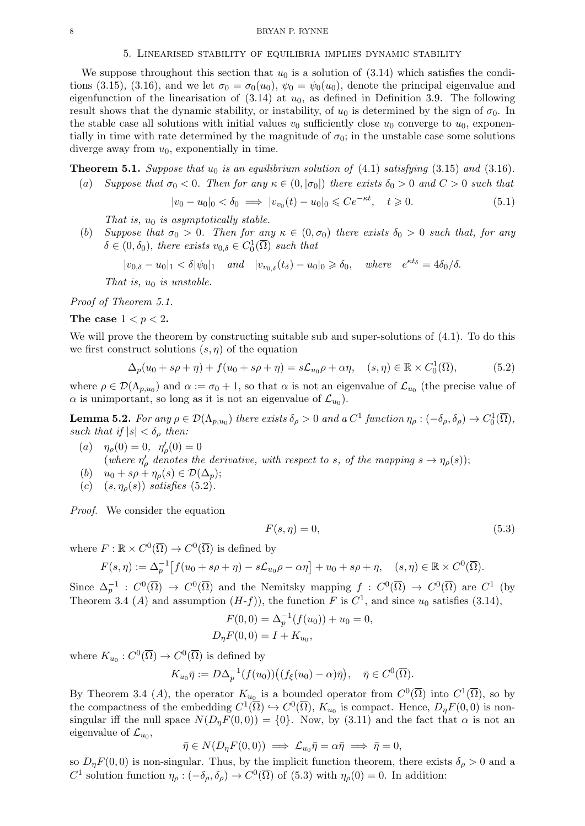#### 5. Linearised stability of equilibria implies dynamic stability

We suppose throughout this section that  $u_0$  is a solution of (3.14) which satisfies the conditions (3.15), (3.16), and we let  $\sigma_0 = \sigma_0(u_0)$ ,  $\psi_0 = \psi_0(u_0)$ , denote the principal eigenvalue and eigenfunction of the linearisation of  $(3.14)$  at  $u_0$ , as defined in Definition 3.9. The following result shows that the dynamic stability, or instability, of  $u_0$  is determined by the sign of  $\sigma_0$ . In the stable case all solutions with initial values  $v_0$  sufficiently close  $u_0$  converge to  $u_0$ , exponentially in time with rate determined by the magnitude of  $\sigma_0$ ; in the unstable case some solutions diverge away from  $u_0$ , exponentially in time.

**Theorem 5.1.** Suppose that  $u_0$  is an equilibrium solution of (4.1) satisfying (3.15) and (3.16).

(a) Suppose that  $\sigma_0 < 0$ . Then for any  $\kappa \in (0, |\sigma_0|)$  there exists  $\delta_0 > 0$  and  $C > 0$  such that

$$
|v_0 - u_0|_0 < \delta_0 \implies |v_{v_0}(t) - u_0|_0 \le C e^{-\kappa t}, \quad t \ge 0. \tag{5.1}
$$

That is,  $u_0$  is asymptotically stable.

(b) Suppose that  $\sigma_0 > 0$ . Then for any  $\kappa \in (0, \sigma_0)$  there exists  $\delta_0 > 0$  such that, for any  $\delta \in (0, \delta_0)$ , there exists  $v_{0,\delta} \in C_0^1(\overline{\Omega})$  such that

 $|v_{0,\delta} - u_0|_1 < \delta |\psi_0|_1$  and  $|v_{v_{0,\delta}}(t_\delta) - u_0|_0 \geq \delta_0$ , where  $e^{\kappa t_\delta} = 4\delta_0/\delta$ .

That is,  $u_0$  is unstable.

Proof of Theorem 5.1.

The case  $1 < p < 2$ .

We will prove the theorem by constructing suitable sub and super-solutions of (4.1). To do this we first construct solutions  $(s, \eta)$  of the equation

$$
\Delta_p(u_0 + s\rho + \eta) + f(u_0 + s\rho + \eta) = s\mathcal{L}_{u_0}\rho + \alpha\eta, \quad (s, \eta) \in \mathbb{R} \times C_0^1(\overline{\Omega}),
$$
 (5.2)

where  $\rho \in \mathcal{D}(\Lambda_{p,u_0})$  and  $\alpha := \sigma_0 + 1$ , so that  $\alpha$  is not an eigenvalue of  $\mathcal{L}_{u_0}$  (the precise value of  $\alpha$  is unimportant, so long as it is not an eigenvalue of  $\mathcal{L}_{u_0}$ .

**Lemma 5.2.** For any  $\rho \in \mathcal{D}(\Lambda_{p,u_0})$  there exists  $\delta_\rho > 0$  and a  $C^1$  function  $\eta_\rho : (-\delta_\rho, \delta_\rho) \to C_0^1(\overline{\Omega}),$ such that if  $|s| < \delta_\rho$  then:

- (a)  $\eta_{\rho}(0) = 0, \eta'_{\rho}(0) = 0$ (where  $\eta'_{\rho}$  denotes the derivative, with respect to s, of the mapping  $s \to \eta_{\rho}(s)$ );
- (b)  $u_0 + s\rho + \eta_\rho(s) \in \mathcal{D}(\Delta_p);$
- (c)  $(s, \eta_{\rho}(s))$  satisfies (5.2).

Proof. We consider the equation

$$
F(s,\eta) = 0,\t\t(5.3)
$$

where  $F : \mathbb{R} \times C^0(\overline{\Omega}) \to C^0(\overline{\Omega})$  is defined by

$$
F(s,\eta) := \Delta_p^{-1} \left[ f(u_0 + s\rho + \eta) - s\mathcal{L}_{u_0}\rho - \alpha\eta \right] + u_0 + s\rho + \eta, \quad (s,\eta) \in \mathbb{R} \times C^0(\overline{\Omega}).
$$

Since  $\Delta_p^{-1}: C^0(\overline{\Omega}) \to C^0(\overline{\Omega})$  and the Nemitsky mapping  $f: C^0(\overline{\Omega}) \to C^0(\overline{\Omega})$  are  $C^1$  (by Theorem 3.4 (A) and assumption  $(H-f)$ , the function F is  $C<sup>1</sup>$ , and since  $u_0$  satisfies (3.14),

$$
F(0,0) = \Delta_p^{-1}(f(u_0)) + u_0 = 0,
$$
  

$$
D_{\eta}F(0,0) = I + K_{u_0},
$$

where  $K_{u_0}: C^0(\overline{\Omega}) \to C^0(\overline{\Omega})$  is defined by

$$
K_{u_0}\bar{\eta} := D\Delta_p^{-1}(f(u_0))\big((f_{\xi}(u_0) - \alpha)\bar{\eta}\big), \quad \bar{\eta} \in C^0(\overline{\Omega}).
$$

By Theorem 3.4 (A), the operator  $K_{u_0}$  is a bounded operator from  $C^0(\overline{\Omega})$  into  $C^1(\overline{\Omega})$ , so by the compactness of the embedding  $C^1(\overline{\Omega}) \hookrightarrow C^0(\overline{\Omega})$ ,  $K_{u_0}$  is compact. Hence,  $D_{\eta}F(0,0)$  is nonsingular iff the null space  $N(D_nF(0,0)) = \{0\}$ . Now, by (3.11) and the fact that  $\alpha$  is not an eigenvalue of  $\mathcal{L}_{u_0}$ ,

$$
\bar{\eta} \in N(D_{\eta}F(0,0)) \implies \mathcal{L}_{u_0}\bar{\eta} = \alpha \bar{\eta} \implies \bar{\eta} = 0,
$$

so  $D_{\eta}F(0,0)$  is non-singular. Thus, by the implicit function theorem, there exists  $\delta_{\rho} > 0$  and a C<sup>1</sup> solution function  $\eta_{\rho}: (-\delta_{\rho}, \delta_{\rho}) \to C^0(\overline{\Omega})$  of (5.3) with  $\eta_{\rho}(0) = 0$ . In addition: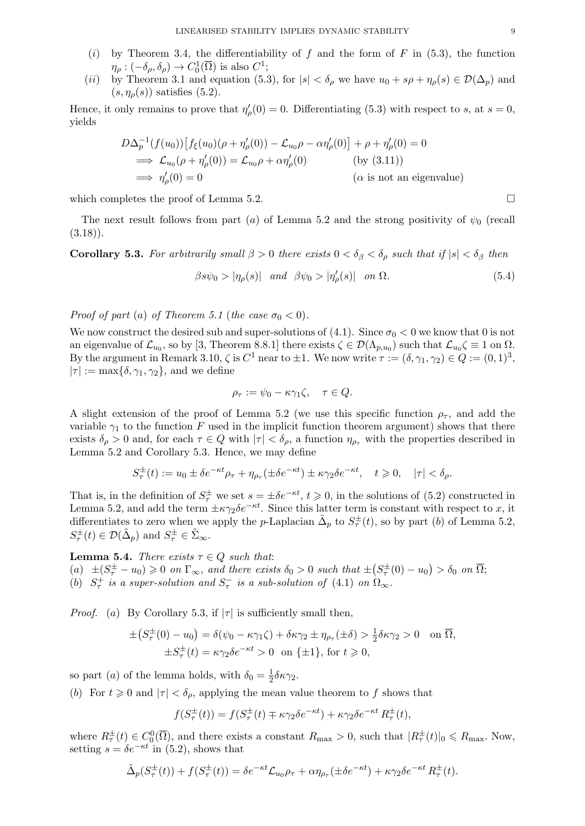- (i) by Theorem 3.4, the differentiability of f and the form of F in  $(5.3)$ , the function  $\eta_{\rho}: (-\delta_{\rho}, \delta_{\rho}) \to C_0^1(\overline{\Omega})$  is also  $C^1$ ;
- (ii) by Theorem 3.1 and equation (5.3), for  $|s| < \delta_\rho$  we have  $u_0 + s\rho + \eta_\rho(s) \in \mathcal{D}(\Delta_p)$  and  $(s, \eta_{\rho}(s))$  satisfies  $(5.2)$ .

Hence, it only remains to prove that  $\eta'_{\rho}(0) = 0$ . Differentiating (5.3) with respect to s, at  $s = 0$ , yields

$$
D\Delta_p^{-1}(f(u_0)) [f_{\xi}(u_0)(\rho + \eta'_{\rho}(0)) - \mathcal{L}_{u_0}\rho - \alpha\eta'_{\rho}(0)] + \rho + \eta'_{\rho}(0) = 0
$$
  
\n
$$
\implies \mathcal{L}_{u_0}(\rho + \eta'_{\rho}(0)) = \mathcal{L}_{u_0}\rho + \alpha\eta'_{\rho}(0) \qquad \text{(by (3.11))}
$$
  
\n
$$
\implies \eta'_{\rho}(0) = 0 \qquad \text{(a is not an eigenvalue)}
$$

which completes the proof of Lemma 5.2.

The next result follows from part (a) of Lemma 5.2 and the strong positivity of  $\psi_0$  (recall  $(3.18)$ .

Corollary 5.3. For arbitrarily small  $\beta > 0$  there exists  $0 < \delta_{\beta} < \delta_{\alpha}$  such that if  $|s| < \delta_{\beta}$  then

$$
\beta s \psi_0 > |\eta_\rho(s)| \quad \text{and} \quad \beta \psi_0 > |\eta_\rho'(s)| \quad \text{on } \Omega. \tag{5.4}
$$

Proof of part (a) of Theorem 5.1 (the case  $\sigma_0 < 0$ ).

We now construct the desired sub and super-solutions of (4.1). Since  $\sigma_0 < 0$  we know that 0 is not an eigenvalue of  $\mathcal{L}_{u_0}$ , so by [3, Theorem 8.8.1] there exists  $\zeta \in \mathcal{D}(\Lambda_{p,u_0})$  such that  $\mathcal{L}_{u_0}\zeta \equiv 1$  on  $\Omega$ . By the argument in Remark 3.10,  $\zeta$  is  $C^1$  near to  $\pm 1$ . We now write  $\tau := (\delta, \gamma_1, \gamma_2) \in Q := (0, 1)^3$ ,  $|\tau| := \max{\{\delta, \gamma_1, \gamma_2\}}$ , and we define

$$
\rho_{\tau} := \psi_0 - \kappa \gamma_1 \zeta, \quad \tau \in Q.
$$

A slight extension of the proof of Lemma 5.2 (we use this specific function  $\rho_{\tau}$ , and add the variable  $\gamma_1$  to the function F used in the implicit function theorem argument) shows that there exists  $\delta_{\rho} > 0$  and, for each  $\tau \in Q$  with  $|\tau| < \delta_{\rho}$ , a function  $\eta_{\rho_{\tau}}$  with the properties described in Lemma 5.2 and Corollary 5.3. Hence, we may define

$$
S_\tau^\pm(t):=u_0\pm \delta e^{-\kappa t}\rho_\tau+\eta_{\rho_\tau}(\pm \delta e^{-\kappa t})\pm \kappa\gamma_2\delta e^{-\kappa t},\quad t\geqslant 0,\quad |\tau|<\delta_\rho.
$$

That is, in the definition of  $S_{\tau}^{\pm}$  we set  $s = \pm \delta e^{-\kappa t}$ ,  $t \ge 0$ , in the solutions of (5.2) constructed in Lemma 5.2, and add the term  $\pm \kappa \gamma_2 \delta e^{-\kappa t}$ . Since this latter term is constant with respect to x, it differentiates to zero when we apply the p-Laplacian  $\tilde{\Delta}_p$  to  $S^{\pm}_{\tau}(t)$ , so by part (b) of Lemma 5.2,  $S_{\tau}^{\pm}(t) \in \mathcal{D}(\tilde{\Delta}_{p})$  and  $S_{\tau}^{\pm} \in \tilde{\Sigma}_{\infty}$ .

**Lemma 5.4.** There exists  $\tau \in Q$  such that: (a)  $\pm (S_{\tau}^{\pm} - u_0) \geq 0$  on  $\Gamma_{\infty}$ , and there exists  $\delta_0 > 0$  such that  $\pm (S_{\tau}^{\pm}(0) - u_0) > \delta_0$  on  $\overline{\Omega}$ ; (b)  $S^+_\tau$  is a super-solution and  $S^-_\tau$  is a sub-solution of (4.1) on  $\Omega_\infty$ .

*Proof.* (a) By Corollary 5.3, if  $|\tau|$  is sufficiently small then,

$$
\pm (S_{\tau}^{\pm}(0) - u_0) = \delta(\psi_0 - \kappa \gamma_1 \zeta) + \delta \kappa \gamma_2 \pm \eta_{\rho_{\tau}}(\pm \delta) > \frac{1}{2} \delta \kappa \gamma_2 > 0 \quad \text{on } \overline{\Omega},
$$
  

$$
\pm S_{\tau}^{\pm}(t) = \kappa \gamma_2 \delta e^{-\kappa t} > 0 \quad \text{on } \{\pm 1\}, \text{ for } t \ge 0,
$$

so part (*a*) of the lemma holds, with  $\delta_0 = \frac{1}{2}$  $rac{1}{2}\delta \kappa \gamma _{2}.$ 

(b) For  $t \geq 0$  and  $|\tau| < \delta_{\rho}$ , applying the mean value theorem to f shows that

$$
f(S_{\tau}^{\pm}(t)) = f(S_{\tau}^{\pm}(t) \mp \kappa \gamma_2 \delta e^{-\kappa t}) + \kappa \gamma_2 \delta e^{-\kappa t} R_{\tau}^{\pm}(t),
$$

where  $R_{\tau}^{\pm}(t) \in C_0^0(\overline{\Omega})$ , and there exists a constant  $R_{\max} > 0$ , such that  $|R_{\tau}^{\pm}(t)|_0 \le R_{\max}$ . Now, setting  $s = \delta e^{-\kappa t}$  in (5.2), shows that

$$
\tilde{\Delta}_p(S_\tau^{\pm}(t)) + f(S_\tau^{\pm}(t)) = \delta e^{-\kappa t} \mathcal{L}_{u_0} \rho_\tau + \alpha \eta_{\rho_\tau} (\pm \delta e^{-\kappa t}) + \kappa \gamma_2 \delta e^{-\kappa t} R_\tau^{\pm}(t).
$$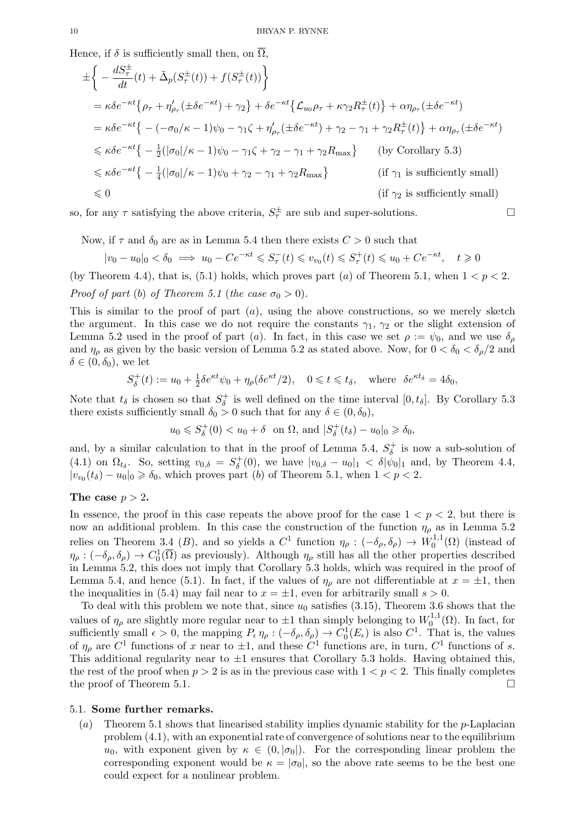Hence, if  $\delta$  is sufficiently small then, on  $\Omega$ ,

$$
\pm \left\{ -\frac{dS_{\tau}^{\pm}}{dt}(t) + \tilde{\Delta}_{p}(S_{\tau}^{\pm}(t)) + f(S_{\tau}^{\pm}(t)) \right\}
$$
\n
$$
= \kappa \delta e^{-\kappa t} \left\{ \rho_{\tau} + \eta_{\rho_{\tau}}'(\pm \delta e^{-\kappa t}) + \gamma_{2} \right\} + \delta e^{-\kappa t} \left\{ \mathcal{L}_{u_{0}} \rho_{\tau} + \kappa \gamma_{2} R_{\tau}^{\pm}(t) \right\} + \alpha \eta_{\rho_{\tau}}(\pm \delta e^{-\kappa t})
$$
\n
$$
= \kappa \delta e^{-\kappa t} \left\{ -(-\sigma_{0}/\kappa - 1)\psi_{0} - \gamma_{1}\zeta + \eta_{\rho_{\tau}}'(\pm \delta e^{-\kappa t}) + \gamma_{2} - \gamma_{1} + \gamma_{2} R_{\tau}^{\pm}(t) \right\} + \alpha \eta_{\rho_{\tau}}(\pm \delta e^{-\kappa t})
$$
\n
$$
\leq \kappa \delta e^{-\kappa t} \left\{ -\frac{1}{2} (|\sigma_{0}|/\kappa - 1)\psi_{0} - \gamma_{1}\zeta + \gamma_{2} - \gamma_{1} + \gamma_{2} R_{\max} \right\} \qquad \text{(by Corollary 5.3)}
$$
\n
$$
\leq \kappa \delta e^{-\kappa t} \left\{ -\frac{1}{4} (|\sigma_{0}|/\kappa - 1)\psi_{0} + \gamma_{2} - \gamma_{1} + \gamma_{2} R_{\max} \right\} \qquad \text{(if } \gamma_{1} \text{ is sufficiently small)}
$$
\n
$$
\leq 0 \qquad \qquad \text{(if } \gamma_{2} \text{ is sufficiently small)}
$$

so, for any  $\tau$  satisfying the above criteria,  $S_{\tau}^{\pm}$  are sub and super-solutions.

Now, if  $\tau$  and  $\delta_0$  are as in Lemma 5.4 then there exists  $C > 0$  such that

$$
|v_0 - u_0|_0 < \delta_0 \implies u_0 - Ce^{-\kappa t} \leqslant S_\tau^-(t) \leqslant v_{v_0}(t) \leqslant S_\tau^+(t) \leqslant u_0 + Ce^{-\kappa t}, \quad t \geqslant 0
$$

(by Theorem 4.4), that is, (5.1) holds, which proves part (a) of Theorem 5.1, when  $1 < p < 2$ . Proof of part (b) of Theorem 5.1 (the case  $\sigma_0 > 0$ ).

This is similar to the proof of part  $(a)$ , using the above constructions, so we merely sketch the argument. In this case we do not require the constants  $\gamma_1$ ,  $\gamma_2$  or the slight extension of Lemma 5.2 used in the proof of part (a). In fact, in this case we set  $\rho := \psi_0$ , and we use  $\delta_\rho$ and  $\eta_{\rho}$  as given by the basic version of Lemma 5.2 as stated above. Now, for  $0 < \delta_0 < \delta_{\rho}/2$  and  $\delta \in (0, \delta_0)$ , we let

$$
S_{\delta}^+(t) := u_0 + \frac{1}{2}\delta e^{\kappa t}\psi_0 + \eta_\rho(\delta e^{\kappa t}/2), \quad 0 \leq t \leq t_\delta, \quad \text{where } \delta e^{\kappa t_\delta} = 4\delta_0,
$$

Note that  $t_{\delta}$  is chosen so that  $S_{\delta}^{+}$  $\delta^+$  is well defined on the time interval  $[0, t_{\delta}]$ . By Corollary 5.3 there exists sufficiently small  $\delta_0 > 0$  such that for any  $\delta \in (0, \delta_0)$ ,

> $u_0 \leqslant S^+_\delta$  $\delta_{\delta}^{+}(0) < u_0 + \delta$  on  $\Omega$ , and  $|S_{\delta}^{+}|$  $y_{\delta}^{+}(t_{\delta}) - u_0|_{0} \geqslant \delta_0,$

and, by a similar calculation to that in the proof of Lemma 5.4,  $S_{\delta}^+$  $\sigma_{\delta}^{+}$  is now a sub-solution of (4.1) on  $\Omega_{t_\delta}$ . So, setting  $v_{0,\delta} = S_\delta^+$  $\delta_{\delta}^{+}(0)$ , we have  $|v_{0,\delta} - u_0|_1 < \delta |\psi_0|_1$  and, by Theorem 4.4,  $|v_{v_0}(t_\delta)-u_0|_0 \geqslant \delta_0$ , which proves part (b) of Theorem 5.1, when  $1 < p < 2$ .

## The case  $p > 2$ .

In essence, the proof in this case repeats the above proof for the case  $1 < p < 2$ , but there is now an additional problem. In this case the construction of the function  $\eta_{\rho}$  as in Lemma 5.2 relies on Theorem 3.4 (B), and so yields a  $C^1$  function  $\eta_\rho: (-\delta_\rho, \delta_\rho) \to W_0^{1,1}$  $_{0}^{\prime 1,1}(\Omega)$  (instead of  $\eta_{\rho}: (-\delta_{\rho}, \delta_{\rho}) \to C_0^1(\overline{\Omega})$  as previously). Although  $\eta_{\rho}$  still has all the other properties described in Lemma 5.2, this does not imply that Corollary 5.3 holds, which was required in the proof of Lemma 5.4, and hence (5.1). In fact, if the values of  $\eta_{\rho}$  are not differentiable at  $x = \pm 1$ , then the inequalities in (5.4) may fail near to  $x = \pm 1$ , even for arbitrarily small  $s > 0$ .

To deal with this problem we note that, since  $u_0$  satisfies (3.15), Theorem 3.6 shows that the values of  $\eta_{\rho}$  are slightly more regular near to  $\pm 1$  than simply belonging to  $W_0^{1,1}$  $_{0}^{\prime 1,1}(\Omega)$ . In fact, for sufficiently small  $\epsilon > 0$ , the mapping  $P_{\epsilon} \eta_{\rho} : (-\delta_{\rho}, \delta_{\rho}) \to C_0^1(E_{\epsilon})$  is also  $C^1$ . That is, the values of  $\eta_{\rho}$  are  $C^1$  functions of x near to  $\pm 1$ , and these  $C^1$  functions are, in turn,  $C^1$  functions of s. This additional regularity near to  $\pm 1$  ensures that Corollary 5.3 holds. Having obtained this, the rest of the proof when  $p > 2$  is as in the previous case with  $1 < p < 2$ . This finally completes the proof of Theorem 5.1.  $\Box$ 

## 5.1. Some further remarks.

(a) Theorem 5.1 shows that linearised stability implies dynamic stability for the p-Laplacian problem (4.1), with an exponential rate of convergence of solutions near to the equilibrium  $u_0$ , with exponent given by  $\kappa \in (0, |\sigma_0|)$ . For the corresponding linear problem the corresponding exponent would be  $\kappa = |\sigma_0|$ , so the above rate seems to be the best one could expect for a nonlinear problem.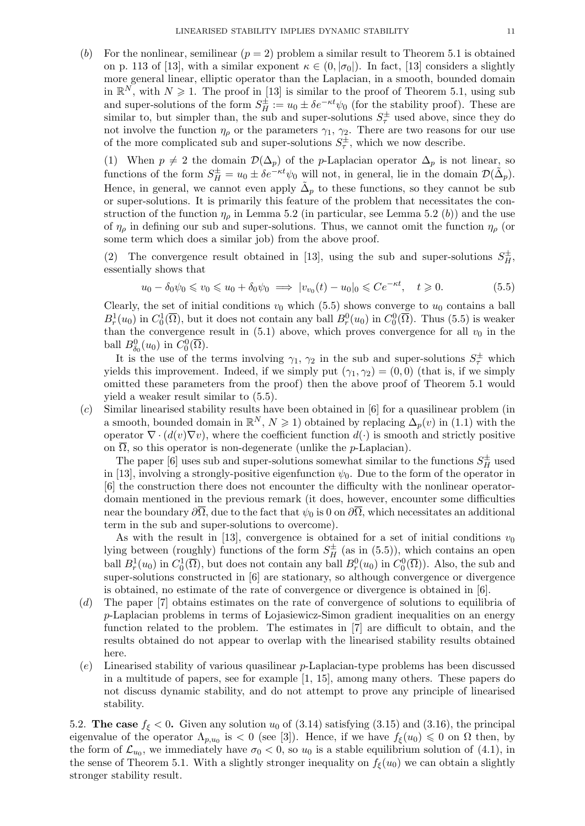(b) For the nonlinear, semilinear  $(p = 2)$  problem a similar result to Theorem 5.1 is obtained on p. 113 of [13], with a similar exponent  $\kappa \in (0, |\sigma_0|)$ . In fact, [13] considers a slightly more general linear, elliptic operator than the Laplacian, in a smooth, bounded domain in  $\mathbb{R}^N$ , with  $N \geq 1$ . The proof in [13] is similar to the proof of Theorem 5.1, using sub and super-solutions of the form  $S_H^{\pm} := u_0 \pm \delta e^{-\kappa t} \psi_0$  (for the stability proof). These are similar to, but simpler than, the sub and super-solutions  $S^{\pm}_{\tau}$  used above, since they do not involve the function  $\eta_{\rho}$  or the parameters  $\gamma_1$ ,  $\gamma_2$ . There are two reasons for our use of the more complicated sub and super-solutions  $S_{\tau}^{\pm}$ , which we now describe.

(1) When  $p \neq 2$  the domain  $\mathcal{D}(\Delta_p)$  of the p-Laplacian operator  $\Delta_p$  is not linear, so functions of the form  $S_H^{\pm} = u_0 \pm \delta e^{-\kappa t} \psi_0$  will not, in general, lie in the domain  $\mathcal{D}(\tilde{\Delta}_p)$ . Hence, in general, we cannot even apply  $\tilde{\Delta}_p$  to these functions, so they cannot be sub or super-solutions. It is primarily this feature of the problem that necessitates the construction of the function  $\eta_{\rho}$  in Lemma 5.2 (in particular, see Lemma 5.2 (b)) and the use of  $\eta_{\rho}$  in defining our sub and super-solutions. Thus, we cannot omit the function  $\eta_{\rho}$  (or some term which does a similar job) from the above proof.

(2) The convergence result obtained in [13], using the sub and super-solutions  $S_H^{\pm}$ , essentially shows that

$$
u_0 - \delta_0 \psi_0 \leq v_0 \leq u_0 + \delta_0 \psi_0 \implies |v_{v_0}(t) - u_0|_0 \leqslant Ce^{-\kappa t}, \quad t \geqslant 0. \tag{5.5}
$$

Clearly, the set of initial conditions  $v_0$  which (5.5) shows converge to  $u_0$  contains a ball  $B_r^1(u_0)$  in  $C_0^1(\overline{\Omega})$ , but it does not contain any ball  $B_r^0(u_0)$  in  $C_0^0(\overline{\Omega})$ . Thus (5.5) is weaker than the convergence result in  $(5.1)$  above, which proves convergence for all  $v_0$  in the ball  $B^0_{\delta_0}(u_0)$  in  $C_0^0(\overline{\Omega})$ .

It is the use of the terms involving  $\gamma_1, \gamma_2$  in the sub and super-solutions  $S^{\pm}_{\tau}$  which yields this improvement. Indeed, if we simply put  $(\gamma_1, \gamma_2) = (0, 0)$  (that is, if we simply omitted these parameters from the proof) then the above proof of Theorem 5.1 would yield a weaker result similar to (5.5).

(c) Similar linearised stability results have been obtained in [6] for a quasilinear problem (in a smooth, bounded domain in  $\mathbb{R}^N$ ,  $N \geq 1$  obtained by replacing  $\Delta_p(v)$  in (1.1) with the operator  $\nabla \cdot (d(v)\nabla v)$ , where the coefficient function  $d(\cdot)$  is smooth and strictly positive on  $\overline{\Omega}$ , so this operator is non-degenerate (unlike the *p*-Laplacian).

The paper [6] uses sub and super-solutions somewhat similar to the functions  $S_H^{\pm}$  used in [13], involving a strongly-positive eigenfunction  $\psi_0$ . Due to the form of the operator in [6] the construction there does not encounter the difficulty with the nonlinear operatordomain mentioned in the previous remark (it does, however, encounter some difficulties near the boundary  $\partial\overline{\Omega}$ , due to the fact that  $\psi_0$  is 0 on  $\partial\overline{\Omega}$ , which necessitates an additional term in the sub and super-solutions to overcome).

As with the result in [13], convergence is obtained for a set of initial conditions  $v_0$ lying between (roughly) functions of the form  $S_H^{\pm}$  (as in (5.5)), which contains an open ball  $B_r^1(u_0)$  in  $C_0^1(\overline{\Omega})$ , but does not contain any ball  $B_r^0(u_0)$  in  $C_0^0(\overline{\Omega})$ ). Also, the sub and super-solutions constructed in [6] are stationary, so although convergence or divergence is obtained, no estimate of the rate of convergence or divergence is obtained in [6].

- (d) The paper [7] obtains estimates on the rate of convergence of solutions to equilibria of p-Laplacian problems in terms of Lojasiewicz-Simon gradient inequalities on an energy function related to the problem. The estimates in [7] are difficult to obtain, and the results obtained do not appear to overlap with the linearised stability results obtained here.
- (e) Linearised stability of various quasilinear p-Laplacian-type problems has been discussed in a multitude of papers, see for example [1, 15], among many others. These papers do not discuss dynamic stability, and do not attempt to prove any principle of linearised stability.

5.2. The case  $f_{\xi}$  < 0. Given any solution  $u_0$  of (3.14) satisfying (3.15) and (3.16), the principal eigenvalue of the operator  $\Lambda_{p,u_0}$  is  $\langle 0 \rangle$  (see [3]). Hence, if we have  $f_{\xi}(u_0) \leq 0$  on  $\Omega$  then, by the form of  $\mathcal{L}_{u_0}$ , we immediately have  $\sigma_0 < 0$ , so  $u_0$  is a stable equilibrium solution of (4.1), in the sense of Theorem 5.1. With a slightly stronger inequality on  $f_{\xi}(u_0)$  we can obtain a slightly stronger stability result.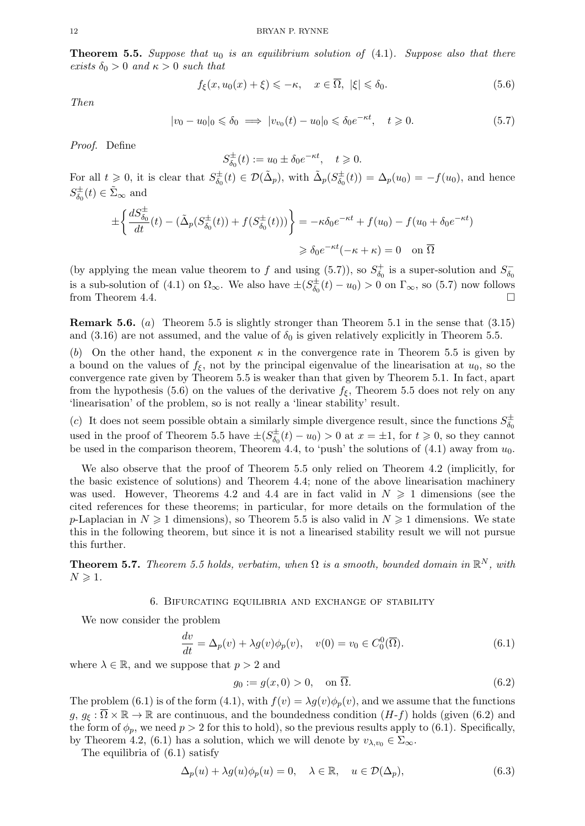**Theorem 5.5.** Suppose that  $u_0$  is an equilibrium solution of (4.1). Suppose also that there exists  $\delta_0 > 0$  and  $\kappa > 0$  such that

$$
f_{\xi}(x, u_0(x) + \xi) \leqslant -\kappa, \quad x \in \overline{\Omega}, \ |\xi| \leqslant \delta_0. \tag{5.6}
$$

Then

$$
|v_0 - u_0|_0 \leq \delta_0 \implies |v_{v_0}(t) - u_0|_0 \leq \delta_0 e^{-\kappa t}, \quad t \geq 0. \tag{5.7}
$$

Proof. Define

$$
S_{\delta_0}^{\pm}(t) := u_0 \pm \delta_0 e^{-\kappa t}, \quad t \geq 0.
$$

For all  $t \geqslant 0$ , it is clear that  $S_{\delta_0}^{\pm}$  $\sigma_{\delta_0}^{\pm}(t) \in \mathcal{D}(\tilde{\Delta}_p)$ , with  $\tilde{\Delta}_p(S_{\delta_0}^{\pm})$  $\phi_{\delta_0}^{\pm}(t) = \Delta_p(u_0) = -f(u_0)$ , and hence  $S_{\delta_0}^{\pm}$  $\phi_0^{\pm}(t) \in \tilde{\Sigma}_{\infty}$  and

$$
\pm \left\{ \frac{dS_{\delta_0}^{\pm}}{dt}(t) - (\tilde{\Delta}_p(S_{\delta_0}^{\pm}(t)) + f(S_{\delta_0}^{\pm}(t))) \right\} = -\kappa \delta_0 e^{-\kappa t} + f(u_0) - f(u_0 + \delta_0 e^{-\kappa t})
$$
  

$$
\geq \delta_0 e^{-\kappa t} (-\kappa + \kappa) = 0 \quad \text{on } \overline{\Omega}
$$

(by applying the mean value theorem to f and using (5.7)), so  $S^+_{\delta_0}$  $\delta_0^+$  is a super-solution and  $S_{\delta_0}^ \delta_0$ is a sub-solution of (4.1) on  $\Omega_{\infty}$ . We also have  $\pm (S^{\pm}_{\delta_{\alpha}})$  $\int_{\delta_0}^{\pm} (t) - u_0 > 0$  on  $\Gamma_{\infty}$ , so (5.7) now follows from Theorem 4.4.

Remark 5.6. (a) Theorem 5.5 is slightly stronger than Theorem 5.1 in the sense that (3.15) and (3.16) are not assumed, and the value of  $\delta_0$  is given relatively explicitly in Theorem 5.5.

(b) On the other hand, the exponent  $\kappa$  in the convergence rate in Theorem 5.5 is given by a bound on the values of  $f_{\xi}$ , not by the principal eigenvalue of the linearisation at  $u_0$ , so the convergence rate given by Theorem 5.5 is weaker than that given by Theorem 5.1. In fact, apart from the hypothesis (5.6) on the values of the derivative  $f_{\xi}$ , Theorem 5.5 does not rely on any 'linearisation' of the problem, so is not really a 'linear stability' result.

(c) It does not seem possible obtain a similarly simple divergence result, since the functions  $S^{\pm}_{\delta_0}$  $\delta_0$ used in the proof of Theorem 5.5 have  $\pm (S_{\delta_0}^{\pm}$  $\phi_{\delta_0}^{t+}(t) - u_0 > 0$  at  $x = \pm 1$ , for  $t \geq 0$ , so they cannot be used in the comparison theorem, Theorem 4.4, to 'push' the solutions of  $(4.1)$  away from  $u_0$ .

We also observe that the proof of Theorem 5.5 only relied on Theorem 4.2 (implicitly, for the basic existence of solutions) and Theorem 4.4; none of the above linearisation machinery was used. However, Theorems 4.2 and 4.4 are in fact valid in  $N \geq 1$  dimensions (see the cited references for these theorems; in particular, for more details on the formulation of the p-Laplacian in  $N \geq 1$  dimensions), so Theorem 5.5 is also valid in  $N \geq 1$  dimensions. We state this in the following theorem, but since it is not a linearised stability result we will not pursue this further.

**Theorem 5.7.** Theorem 5.5 holds, verbatim, when  $\Omega$  is a smooth, bounded domain in  $\mathbb{R}^N$ , with  $N \geqslant 1$ .

#### 6. Bifurcating equilibria and exchange of stability

We now consider the problem

$$
\frac{dv}{dt} = \Delta_p(v) + \lambda g(v)\phi_p(v), \quad v(0) = v_0 \in C_0^0(\overline{\Omega}).\tag{6.1}
$$

where  $\lambda \in \mathbb{R}$ , and we suppose that  $p > 2$  and

$$
g_0 := g(x,0) > 0, \quad \text{on } \overline{\Omega}.
$$
\n
$$
(6.2)
$$

The problem (6.1) is of the form (4.1), with  $f(v) = \lambda g(v)\phi_p(v)$ , and we assume that the functions  $g, g_{\varepsilon}: \overline{\Omega} \times \mathbb{R} \to \mathbb{R}$  are continuous, and the boundedness condition  $(H-f)$  holds (given (6.2) and the form of  $\phi_p$ , we need  $p > 2$  for this to hold), so the previous results apply to (6.1). Specifically, by Theorem 4.2, (6.1) has a solution, which we will denote by  $v_{\lambda,v_0} \in \Sigma_{\infty}$ .

The equilibria of (6.1) satisfy

$$
\Delta_p(u) + \lambda g(u)\phi_p(u) = 0, \quad \lambda \in \mathbb{R}, \quad u \in \mathcal{D}(\Delta_p), \tag{6.3}
$$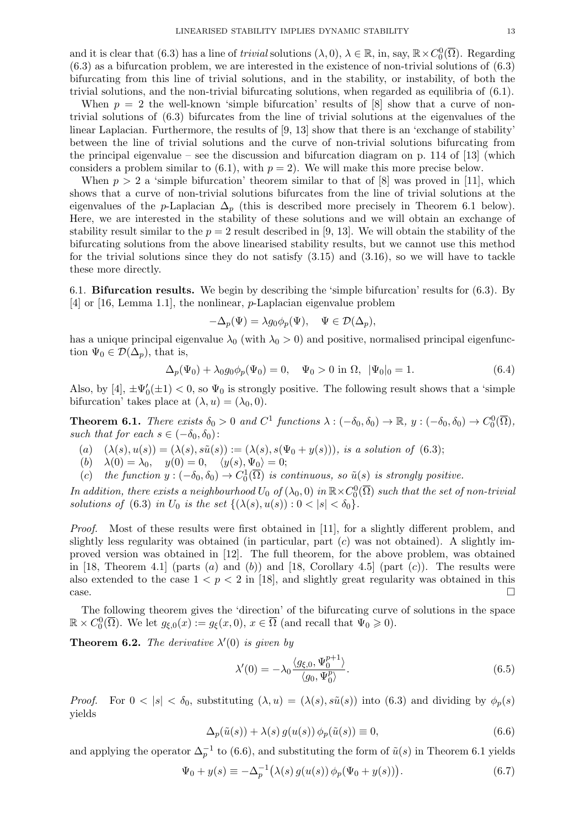and it is clear that (6.3) has a line of *trivial* solutions  $(\lambda, 0), \lambda \in \mathbb{R}$ , in, say,  $\mathbb{R} \times C_0^0(\overline{\Omega})$ . Regarding (6.3) as a bifurcation problem, we are interested in the existence of non-trivial solutions of (6.3) bifurcating from this line of trivial solutions, and in the stability, or instability, of both the trivial solutions, and the non-trivial bifurcating solutions, when regarded as equilibria of (6.1).

When  $p = 2$  the well-known 'simple bifurcation' results of [8] show that a curve of nontrivial solutions of (6.3) bifurcates from the line of trivial solutions at the eigenvalues of the linear Laplacian. Furthermore, the results of [9, 13] show that there is an 'exchange of stability' between the line of trivial solutions and the curve of non-trivial solutions bifurcating from the principal eigenvalue – see the discussion and bifurcation diagram on p. 114 of  $[13]$  (which considers a problem similar to  $(6.1)$ , with  $p = 2$ ). We will make this more precise below.

When  $p > 2$  a 'simple bifurcation' theorem similar to that of [8] was proved in [11], which shows that a curve of non-trivial solutions bifurcates from the line of trivial solutions at the eigenvalues of the p-Laplacian  $\Delta_p$  (this is described more precisely in Theorem 6.1 below). Here, we are interested in the stability of these solutions and we will obtain an exchange of stability result similar to the  $p = 2$  result described in [9, 13]. We will obtain the stability of the bifurcating solutions from the above linearised stability results, but we cannot use this method for the trivial solutions since they do not satisfy  $(3.15)$  and  $(3.16)$ , so we will have to tackle these more directly.

6.1. Bifurcation results. We begin by describing the 'simple bifurcation' results for (6.3). By [4] or [16, Lemma 1.1], the nonlinear, p-Laplacian eigenvalue problem

$$
-\Delta_p(\Psi) = \lambda g_0 \phi_p(\Psi), \quad \Psi \in \mathcal{D}(\Delta_p),
$$

has a unique principal eigenvalue  $\lambda_0$  (with  $\lambda_0 > 0$ ) and positive, normalised principal eigenfunction  $\Psi_0 \in \mathcal{D}(\Delta_p)$ , that is,

$$
\Delta_p(\Psi_0) + \lambda_0 g_0 \phi_p(\Psi_0) = 0, \quad \Psi_0 > 0 \text{ in } \Omega, \ |\Psi_0|_0 = 1. \tag{6.4}
$$

Also, by [4],  $\pm\Psi_0'(\pm 1) < 0$ , so  $\Psi_0$  is strongly positive. The following result shows that a 'simple bifurcation' takes place at  $(\lambda, u) = (\lambda_0, 0)$ .

**Theorem 6.1.** There exists  $\delta_0 > 0$  and  $C^1$  functions  $\lambda : (-\delta_0, \delta_0) \to \mathbb{R}, y : (-\delta_0, \delta_0) \to C_0^0(\overline{\Omega}),$ such that for each  $s \in (-\delta_0, \delta_0)$ :

- (a)  $(\lambda(s), u(s)) = (\lambda(s), s\tilde{u}(s)) := (\lambda(s), s(\Psi_0 + y(s))),$  is a solution of (6.3);
- (b)  $\lambda(0) = \lambda_0, \quad y(0) = 0, \quad \langle y(s), \Psi_0 \rangle = 0;$
- (c) the function  $y: (-\delta_0, \delta_0) \to C_0^1(\overline{\Omega})$  is continuous, so  $\tilde{u}(s)$  is strongly positive.

In addition, there exists a neighbourhood  $U_0$  of  $(\lambda_0,0)$  in  $\mathbb{R}{\times}C^0_0(\overline{\Omega})$  such that the set of non-trivial solutions of (6.3) in  $U_0$  is the set  $\{(\lambda(s), u(s)) : 0 < |s| < \delta_0\}.$ 

*Proof.* Most of these results were first obtained in [11], for a slightly different problem, and slightly less regularity was obtained (in particular, part  $(c)$  was not obtained). A slightly improved version was obtained in [12]. The full theorem, for the above problem, was obtained in [18, Theorem 4.1] (parts  $(a)$  and  $(b)$ ) and [18, Corollary 4.5] (part  $(c)$ ). The results were also extended to the case  $1 < p < 2$  in [18], and slightly great regularity was obtained in this  $\Box$ 

The following theorem gives the 'direction' of the bifurcating curve of solutions in the space  $\mathbb{R} \times C_0^0(\overline{\Omega})$ . We let  $g_{\xi,0}(x) := g_{\xi}(x,0), x \in \overline{\Omega}$  (and recall that  $\Psi_0 \geqslant 0$ ).

**Theorem 6.2.** The derivative  $\lambda'(0)$  is given by

$$
\lambda'(0) = -\lambda_0 \frac{\langle g_{\xi,0}, \Psi_0^{p+1} \rangle}{\langle g_0, \Psi_0^p \rangle}.
$$
\n(6.5)

*Proof.* For  $0 < |s| < \delta_0$ , substituting  $(\lambda, u) = (\lambda(s), s\tilde{u}(s))$  into (6.3) and dividing by  $\phi_p(s)$ yields

$$
\Delta_p(\tilde{u}(s)) + \lambda(s) g(u(s)) \phi_p(\tilde{u}(s)) \equiv 0,
$$
\n(6.6)

and applying the operator  $\Delta_p^{-1}$  to (6.6), and substituting the form of  $\tilde{u}(s)$  in Theorem 6.1 yields

$$
\Psi_0 + y(s) \equiv -\Delta_p^{-1}(\lambda(s) g(u(s)) \phi_p(\Psi_0 + y(s))).
$$
\n(6.7)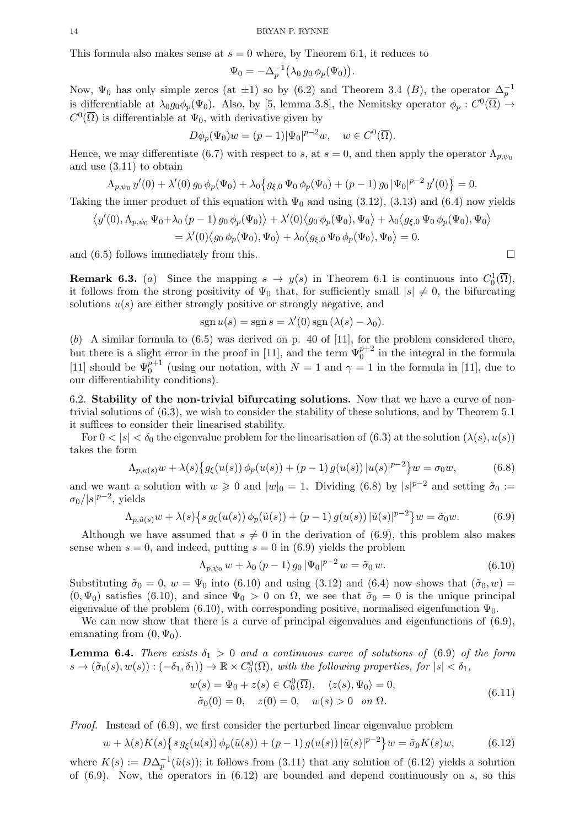This formula also makes sense at  $s = 0$  where, by Theorem 6.1, it reduces to

$$
\Psi_0 = -\Delta_p^{-1} \big( \lambda_0 \, g_0 \, \phi_p(\Psi_0) \big).
$$

Now,  $\Psi_0$  has only simple zeros (at  $\pm 1$ ) so by (6.2) and Theorem 3.4 (B), the operator  $\Delta_p^{-1}$ is differentiable at  $\lambda_0 g_0 \phi_p(\Psi_0)$ . Also, by [5, lemma 3.8], the Nemitsky operator  $\phi_p: C^0(\overline{\Omega}) \to$  $C^0(\overline{\Omega})$  is differentiable at  $\Psi_0$ , with derivative given by

$$
D\phi_p(\Psi_0)w = (p-1)|\Psi_0|^{p-2}w, \quad w \in C^0(\overline{\Omega}).
$$

Hence, we may differentiate (6.7) with respect to s, at  $s = 0$ , and then apply the operator  $\Lambda_{p,\psi_0}$ and use (3.11) to obtain

$$
\Lambda_{p,\psi_0} y'(0) + \lambda'(0) g_0 \phi_p(\Psi_0) + \lambda_0 \{g_{\xi,0} \Psi_0 \phi_p(\Psi_0) + (p-1) g_0 |\Psi_0|^{p-2} y'(0) \} = 0.
$$

Taking the inner product of this equation with  $\Psi_0$  and using (3.12), (3.13) and (6.4) now yields

$$
\langle y'(0), \Lambda_{p,\psi_0} \Psi_0 + \lambda_0 (p-1) g_0 \phi_p(\Psi_0) \rangle + \lambda'(0) \langle g_0 \phi_p(\Psi_0), \Psi_0 \rangle + \lambda_0 \langle g_{\xi,0} \Psi_0 \phi_p(\Psi_0), \Psi_0 \rangle
$$
  
=  $\lambda'(0) \langle g_0 \phi_p(\Psi_0), \Psi_0 \rangle + \lambda_0 \langle g_{\xi,0} \Psi_0 \phi_p(\Psi_0), \Psi_0 \rangle = 0.$ 

and  $(6.5)$  follows immediately from this.

**Remark 6.3.** (a) Since the mapping  $s \to y(s)$  in Theorem 6.1 is continuous into  $C_0^1(\overline{\Omega})$ , it follows from the strong positivity of  $\Psi_0$  that, for sufficiently small  $|s| \neq 0$ , the bifurcating solutions  $u(s)$  are either strongly positive or strongly negative, and

$$
sgn u(s) = sgn s = \lambda'(0) sgn (\lambda(s) - \lambda_0).
$$

 $(b)$  A similar formula to  $(6.5)$  was derived on p. 40 of [11], for the problem considered there, but there is a slight error in the proof in [11], and the term  $\Psi_0^{p+2}$  in the integral in the formula [11] should be  $\Psi_0^{p+1}$  (using our notation, with  $N=1$  and  $\gamma=1$  in the formula in [11], due to our differentiability conditions).

6.2. Stability of the non-trivial bifurcating solutions. Now that we have a curve of nontrivial solutions of (6.3), we wish to consider the stability of these solutions, and by Theorem 5.1 it suffices to consider their linearised stability.

For  $0 < |s| < \delta_0$  the eigenvalue problem for the linearisation of  $(6.3)$  at the solution  $(\lambda(s), u(s))$ takes the form

$$
\Lambda_{p,u(s)}w + \lambda(s)\{g_{\xi}(u(s))\phi_p(u(s)) + (p-1)g(u(s))\,|u(s)|^{p-2}\}w = \sigma_0w,\tag{6.8}
$$

and we want a solution with  $w \geq 0$  and  $|w|_0 = 1$ . Dividing (6.8) by  $|s|^{p-2}$  and setting  $\tilde{\sigma}_0 :=$  $\sigma_0/|s|^{p-2}$ , yields

$$
\Lambda_{p,\tilde{u}(s)} w + \lambda(s) \{ s g_{\xi}(u(s)) \phi_p(\tilde{u}(s)) + (p-1) g(u(s)) |\tilde{u}(s)|^{p-2} \} w = \tilde{\sigma}_0 w.
$$
 (6.9)

Although we have assumed that  $s \neq 0$  in the derivation of (6.9), this problem also makes sense when  $s = 0$ , and indeed, putting  $s = 0$  in (6.9) yields the problem

$$
\Lambda_{p,\psi_0} w + \lambda_0 (p-1) g_0 |\Psi_0|^{p-2} w = \tilde{\sigma}_0 w.
$$
\n(6.10)

Substituting  $\tilde{\sigma}_0 = 0$ ,  $w = \Psi_0$  into (6.10) and using (3.12) and (6.4) now shows that  $(\tilde{\sigma}_0, w)$  $(0, \Psi_0)$  satisfies (6.10), and since  $\Psi_0 > 0$  on  $\Omega$ , we see that  $\tilde{\sigma}_0 = 0$  is the unique principal eigenvalue of the problem (6.10), with corresponding positive, normalised eigenfunction  $\Psi_0$ .

We can now show that there is a curve of principal eigenvalues and eigenfunctions of  $(6.9)$ , emanating from  $(0, \Psi_0)$ .

**Lemma 6.4.** There exists  $\delta_1 > 0$  and a continuous curve of solutions of (6.9) of the form  $s \to (\tilde{\sigma}_0(s), w(s)) : (-\delta_1, \delta_1)) \to \mathbb{R} \times C_0^0(\overline{\Omega})$ , with the following properties, for  $|s| < \delta_1$ ,

$$
w(s) = \Psi_0 + z(s) \in C_0^0(\overline{\Omega}), \quad \langle z(s), \Psi_0 \rangle = 0,
$$
  
\n
$$
\tilde{\sigma}_0(0) = 0, \quad z(0) = 0, \quad w(s) > 0 \quad on \ \Omega.
$$
\n(6.11)

Proof. Instead of (6.9), we first consider the perturbed linear eigenvalue problem

$$
w + \lambda(s)K(s)\{s\,g_{\xi}(u(s))\,\phi_p(\tilde{u}(s)) + (p-1)\,g(u(s))\,|\tilde{u}(s)|^{p-2}\}w = \tilde{\sigma}_0K(s)w,\tag{6.12}
$$

where  $K(s) := D\Delta_p^{-1}(\tilde{u}(s))$ ; it follows from (3.11) that any solution of (6.12) yields a solution of  $(6.9)$ . Now, the operators in  $(6.12)$  are bounded and depend continuously on s, so this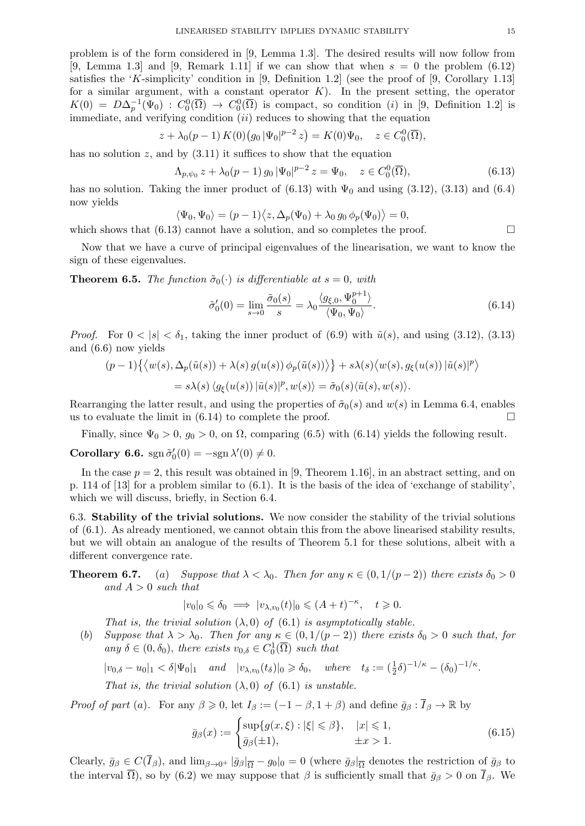problem is of the form considered in [9, Lemma 1.3]. The desired results will now follow from [9, Lemma 1.3] and [9, Remark 1.11] if we can show that when  $s = 0$  the problem (6.12) satisfies the 'K-simplicity' condition in [9, Definition 1.2] (see the proof of [9, Corollary 1.13] for a similar argument, with a constant operator  $K$ ). In the present setting, the operator  $K(0) = D\Delta_p^{-1}(\Psi_0) : C_0^0(\overline{\Omega}) \to C_0^0(\overline{\Omega})$  is compact, so condition (i) in [9, Definition 1.2] is immediate, and verifying condition  $(ii)$  reduces to showing that the equation

$$
z + \lambda_0(p-1) K(0) (g_0 |\Psi_0|^{p-2} z) = K(0) \Psi_0, \quad z \in C_0^0(\overline{\Omega}),
$$

has no solution z, and by  $(3.11)$  it suffices to show that the equation

$$
\Lambda_{p,\psi_0} z + \lambda_0 (p-1) g_0 |\Psi_0|^{p-2} z = \Psi_0, \quad z \in C_0^0(\overline{\Omega}), \tag{6.13}
$$

has no solution. Taking the inner product of  $(6.13)$  with  $\Psi_0$  and using  $(3.12)$ ,  $(3.13)$  and  $(6.4)$ now yields

$$
\langle \Psi_0, \Psi_0 \rangle = (p-1)\langle z, \Delta_p(\Psi_0) + \lambda_0 g_0 \phi_p(\Psi_0) \rangle = 0,
$$

which shows that (6.13) cannot have a solution, and so completes the proof.  $\Box$ 

Now that we have a curve of principal eigenvalues of the linearisation, we want to know the sign of these eigenvalues.

**Theorem 6.5.** The function  $\tilde{\sigma}_0(\cdot)$  is differentiable at  $s = 0$ , with

$$
\tilde{\sigma}'_0(0) = \lim_{s \to 0} \frac{\tilde{\sigma}_0(s)}{s} = \lambda_0 \frac{\langle g_{\xi,0}, \Psi_0^{p+1} \rangle}{\langle \Psi_0, \Psi_0 \rangle}.
$$
\n(6.14)

*Proof.* For  $0 < |s| < \delta_1$ , taking the inner product of (6.9) with  $\tilde{u}(s)$ , and using (3.12), (3.13) and (6.6) now yields

$$
(p-1)\{\langle w(s), \Delta_p(\tilde{u}(s)) + \lambda(s) g(u(s)) \phi_p(\tilde{u}(s)) \rangle\} + s\lambda(s)\langle w(s), g_\xi(u(s)) | \tilde{u}(s)|^p \rangle
$$
  
=  $s\lambda(s)\langle g_\xi(u(s)) | \tilde{u}(s)|^p, w(s) \rangle = \tilde{\sigma}_0(s)\langle \tilde{u}(s), w(s) \rangle$ .

Rearranging the latter result, and using the properties of  $\tilde{\sigma}_0(s)$  and  $w(s)$  in Lemma 6.4, enables us to evaluate the limit in  $(6.14)$  to complete the proof.

Finally, since  $\Psi_0 > 0$ ,  $g_0 > 0$ , on  $\Omega$ , comparing (6.5) with (6.14) yields the following result.

Corollary 6.6.  $\text{sgn }\tilde{\sigma}'_0(0) = -\text{sgn }\lambda'(0) \neq 0.$ 

In the case  $p = 2$ , this result was obtained in [9, Theorem 1.16], in an abstract setting, and on p. 114 of [13] for a problem similar to (6.1). It is the basis of the idea of 'exchange of stability', which we will discuss, briefly, in Section 6.4.

6.3. Stability of the trivial solutions. We now consider the stability of the trivial solutions of (6.1). As already mentioned, we cannot obtain this from the above linearised stability results, but we will obtain an analogue of the results of Theorem 5.1 for these solutions, albeit with a different convergence rate.

**Theorem 6.7.** (a) Suppose that  $\lambda < \lambda_0$ . Then for any  $\kappa \in (0, 1/(p-2))$  there exists  $\delta_0 > 0$ and  $A > 0$  such that

$$
|v_0|_0 \leq \delta_0 \implies |v_{\lambda, v_0}(t)|_0 \leq (A+t)^{-\kappa}, \quad t \geq 0.
$$

That is, the trivial solution  $(\lambda, 0)$  of  $(6.1)$  is asymptotically stable.

(b) Suppose that  $\lambda > \lambda_0$ . Then for any  $\kappa \in (0, 1/(p-2))$  there exists  $\delta_0 > 0$  such that, for any  $\delta \in (0, \delta_0)$ , there exists  $v_{0,\delta} \in C_0^1(\overline{\Omega})$  such that

$$
|v_{0,\delta}-u_0|_1 < \delta |\Psi_0|_1 \quad \text{and} \quad |v_{\lambda,v_0}(t_\delta)|_0 \geq \delta_0, \quad \text{where} \quad t_\delta := \left(\frac{1}{2}\delta\right)^{-1/\kappa} - \left(\delta_0\right)^{-1/\kappa}.
$$

That is, the trivial solution  $(\lambda, 0)$  of  $(6.1)$  is unstable.

*Proof of part* (a). For any  $\beta \geq 0$ , let  $I_{\beta} := (-1 - \beta, 1 + \beta)$  and define  $\bar{g}_{\beta} : \bar{I}_{\beta} \to \mathbb{R}$  by

$$
\bar{g}_{\beta}(x) := \begin{cases} \sup\{g(x,\xi) : |\xi| \leq \beta\}, & |x| \leq 1, \\ \bar{g}_{\beta}(\pm 1), & \pm x > 1. \end{cases}
$$
(6.15)

Clearly,  $\bar{g}_{\beta} \in C(\bar{I}_{\beta})$ , and  $\lim_{\beta \to 0^+} |\bar{g}_{\beta}|_{\overline{\Omega}} - g_0|_0 = 0$  (where  $\bar{g}_{\beta} |_{\overline{\Omega}}$  denotes the restriction of  $\bar{g}_{\beta}$  to the interval  $\overline{\Omega}$ ), so by (6.2) we may suppose that  $\beta$  is sufficiently small that  $\overline{g}_{\beta} > 0$  on  $\overline{I}_{\beta}$ . We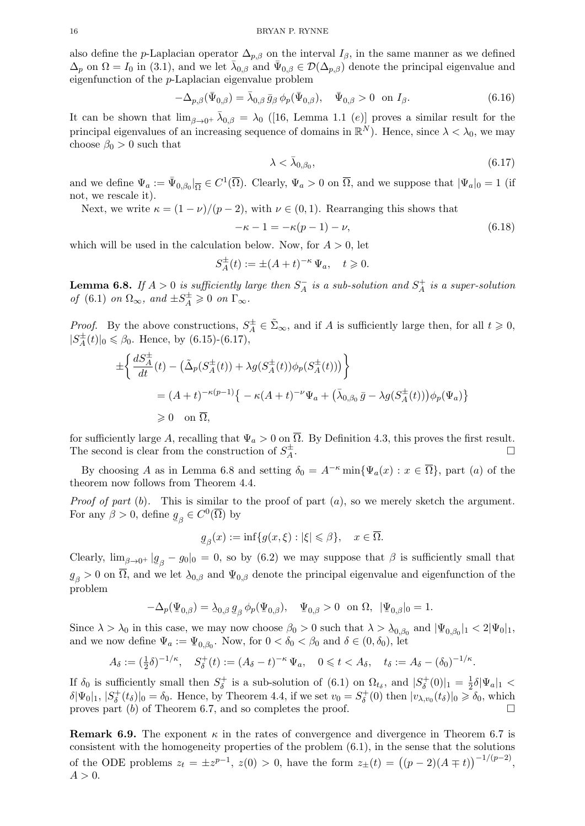also define the p-Laplacian operator  $\Delta_{p,\beta}$  on the interval  $I_{\beta}$ , in the same manner as we defined  $\Delta_p$  on  $\Omega = I_0$  in (3.1), and we let  $\bar{\lambda}_{0,\beta}$  and  $\bar{\Psi}_{0,\beta} \in \mathcal{D}(\Delta_{p,\beta})$  denote the principal eigenvalue and eigenfunction of the p-Laplacian eigenvalue problem

$$
-\Delta_{p,\beta}(\bar{\Psi}_{0,\beta}) = \bar{\lambda}_{0,\beta} \bar{g}_{\beta} \phi_p(\bar{\Psi}_{0,\beta}), \quad \bar{\Psi}_{0,\beta} > 0 \quad \text{on } I_{\beta}.
$$
 (6.16)

It can be shown that  $\lim_{\beta\to 0^+} \bar{\lambda}_{0,\beta} = \lambda_0$  ([16, Lemma 1.1 (e)] proves a similar result for the principal eigenvalues of an increasing sequence of domains in  $\mathbb{R}^N$ ). Hence, since  $\lambda < \lambda_0$ , we may choose  $\beta_0 > 0$  such that

$$
\lambda < \bar{\lambda}_{0,\beta_0},\tag{6.17}
$$

and we define  $\Psi_a := \bar{\Psi}_{0,\beta_0} |_{\overline{\Omega}} \in C^1(\overline{\Omega})$ . Clearly,  $\Psi_a > 0$  on  $\overline{\Omega}$ , and we suppose that  $|\Psi_a|_0 = 1$  (if not, we rescale it).

Next, we write  $\kappa = (1 - \nu)/(p - 2)$ , with  $\nu \in (0, 1)$ . Rearranging this shows that

$$
-\kappa - 1 = -\kappa(p - 1) - \nu,
$$
\n(6.18)

which will be used in the calculation below. Now, for  $A > 0$ , let

$$
S_A^{\pm}(t) := \pm (A+t)^{-\kappa} \Psi_a, \quad t \geq 0.
$$

**Lemma 6.8.** If  $A > 0$  is sufficiently large then  $S_A^ \frac{1}{A}$  is a sub-solution and  $S_A^+$  $A \overline{A}$  is a super-solution of (6.1) on  $\Omega_{\infty}$ , and  $\pm S_A^{\pm} \geq 0$  on  $\Gamma_{\infty}$ .

*Proof.* By the above constructions,  $S_A^{\pm} \in \tilde{\Sigma}_{\infty}$ , and if A is sufficiently large then, for all  $t \geq 0$ ,  $|S_A^{\pm}$  $\mathcal{A}_{A}^{+}(t)|_{0} \leq \beta_{0}$ . Hence, by (6.15)-(6.17),

$$
\begin{aligned}\n&\pm \bigg\{\frac{dS_A^{\pm}}{dt}(t) - \big(\tilde{\Delta}_p(S_A^{\pm}(t)) + \lambda g(S_A^{\pm}(t))\phi_p(S_A^{\pm}(t))\big)\bigg\} \\
&= (A+t)^{-\kappa(p-1)} \big\{-\kappa(A+t)^{-\nu}\Psi_a + \big(\bar{\lambda}_{0,\beta_0}\,\bar{g} - \lambda g(S_A^{\pm}(t))\big)\phi_p(\Psi_a)\big\} \\
&\geq 0 \quad \text{on } \overline{\Omega},\n\end{aligned}
$$

for sufficiently large A, recalling that  $\Psi_a > 0$  on  $\overline{\Omega}$ . By Definition 4.3, this proves the first result. The second is clear from the construction of  $S_A^{\pm}$ A .

By choosing A as in Lemma 6.8 and setting  $\delta_0 = A^{-\kappa} \min{\Psi_a(x) : x \in \overline{\Omega}}$ , part (a) of the theorem now follows from Theorem 4.4.

*Proof of part* (b). This is similar to the proof of part  $(a)$ , so we merely sketch the argument. For any  $\beta > 0$ , define g  $g_{\beta} \in C^0(\overline{\Omega})$  by

$$
\underline{g}_{\beta}(x):=\inf\{g(x,\xi):|\xi|\leqslant\beta\},\quad x\in\overline{\Omega}.
$$

Clearly,  $\lim_{\beta \to 0^+} |g_{\beta} - g_0|_0 = 0$ , so by (6.2) we may suppose that  $\beta$  is sufficiently small that  $q_{\beta} > 0$  on  $\overline{\Omega}$ , and we let  $\lambda_{0,\beta}$  and  $\Psi_{0,\beta}$  denote the principal eigenvalue and eigenfunction of the  $_{\rm problem}^{\rm 2D}$ 

$$
-\Delta_p(\Psi_{0,\beta}) = \lambda_{0,\beta} g_{\beta} \phi_p(\Psi_{0,\beta}), \quad \Psi_{0,\beta} > 0 \text{ on } \Omega, \ |\Psi_{0,\beta}|_0 = 1.
$$

Since  $\lambda > \lambda_0$  in this case, we may now choose  $\beta_0 > 0$  such that  $\lambda > \lambda_{0,\beta_0}$  and  $|\Psi_{0,\beta_0}|_1 < 2|\Psi_0|_1$ , and we now define  $\Psi_a := \Psi_{0,\beta_0}$ . Now, for  $0 < \delta_0 < \beta_0$  and  $\delta \in (0, \delta_0)$ , let

$$
A_{\delta} := (\frac{1}{2}\delta)^{-1/\kappa}, \quad S_{\delta}^{+}(t) := (A_{\delta} - t)^{-\kappa} \Psi_{a}, \quad 0 \leq t < A_{\delta}, \quad t_{\delta} := A_{\delta} - (\delta_{0})^{-1/\kappa}.
$$

If  $\delta_0$  is sufficiently small then  $S^+_{\delta}$  $\delta^{\dagger}$  is a sub-solution of (6.1) on  $\Omega_{t_{\delta}}$ , and  $|S^{\dagger}_{\delta}|$  $\binom{+}{\delta}(0)|_1 = \frac{1}{2}$  $\frac{1}{2}\delta|\Psi_a|_1 <$  $\delta |\Psi_0|_1, |S^+_{\delta}|$  $\delta(\delta)|_0 = \delta_0$ . Hence, by Theorem 4.4, if we set  $v_0 = S_\delta^+$  $(y_{\delta}^{+}(0)$  then  $|v_{\lambda,v_0}(t_{\delta})|_0 \geq \delta_0$ , which proves part  $(b)$  of Theorem 6.7, and so completes the proof.

**Remark 6.9.** The exponent  $\kappa$  in the rates of convergence and divergence in Theorem 6.7 is consistent with the homogeneity properties of the problem  $(6.1)$ , in the sense that the solutions of the ODE problems  $z_t = \pm z^{p-1}$ ,  $z(0) > 0$ , have the form  $z_{\pm}(t) = ((p-2)(A \mp t))^{-1/(p-2)}$ ,  $A > 0$ .